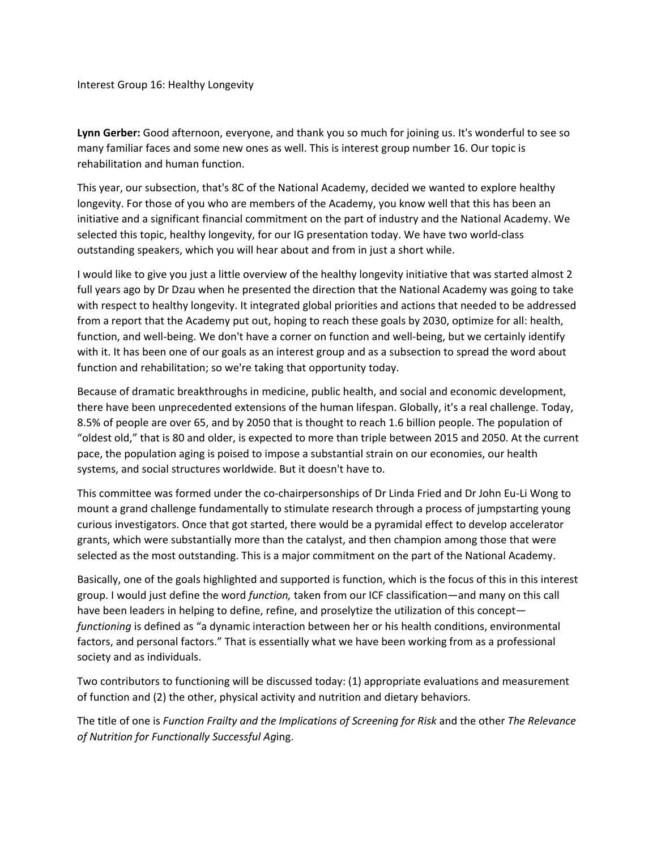Interest Group 16: Healthy Longevity

**Lynn Gerber:** Good afternoon, everyone, and thank you so much for joining us. It's wonderful to see so many familiar faces and some new ones as well. This is interest group number 16. Our topic is rehabilitation and human function.

This year, our subsection, that's 8C of the National Academy, decided we wanted to explore healthy longevity. For those of you who are members of the Academy, you know well that this has been an initiative and a significant financial commitment on the part of industry and the National Academy. We selected this topic, healthy longevity, for our IG presentation today. We have two world‐class outstanding speakers, which you will hear about and from in just a short while.

I would like to give you just a little overview of the healthy longevity initiative that was started almost 2 full years ago by Dr Dzau when he presented the direction that the National Academy was going to take with respect to healthy longevity. It integrated global priorities and actions that needed to be addressed from a report that the Academy put out, hoping to reach these goals by 2030, optimize for all: health, function, and well-being. We don't have a corner on function and well-being, but we certainly identify with it. It has been one of our goals as an interest group and as a subsection to spread the word about function and rehabilitation; so we're taking that opportunity today.

Because of dramatic breakthroughs in medicine, public health, and social and economic development, there have been unprecedented extensions of the human lifespan. Globally, it's a real challenge. Today, 8.5% of people are over 65, and by 2050 that is thought to reach 1.6 billion people. The population of "oldest old," that is 80 and older, is expected to more than triple between 2015 and 2050. At the current pace, the population aging is poised to impose a substantial strain on our economies, our health systems, and social structures worldwide. But it doesn't have to.

This committee was formed under the co-chairpersonships of Dr Linda Fried and Dr John Eu-Li Wong to mount a grand challenge fundamentally to stimulate research through a process of jumpstarting young curious investigators. Once that got started, there would be a pyramidal effect to develop accelerator grants, which were substantially more than the catalyst, and then champion among those that were selected as the most outstanding. This is a major commitment on the part of the National Academy.

Basically, one of the goals highlighted and supported is function, which is the focus of this in this interest group. I would just define the word *function,* taken from our ICF classification—and many on this call have been leaders in helping to define, refine, and proselytize the utilization of this concept *functioning* is defined as "a dynamic interaction between her or his health conditions, environmental factors, and personal factors." That is essentially what we have been working from as a professional society and as individuals.

Two contributors to functioning will be discussed today: (1) appropriate evaluations and measurement of function and (2) the other, physical activity and nutrition and dietary behaviors.

The title of one is *Function Frailty and the Implications of Screening for Risk* and the other *The Relevance of Nutrition for Functionally Successful Ag*ing.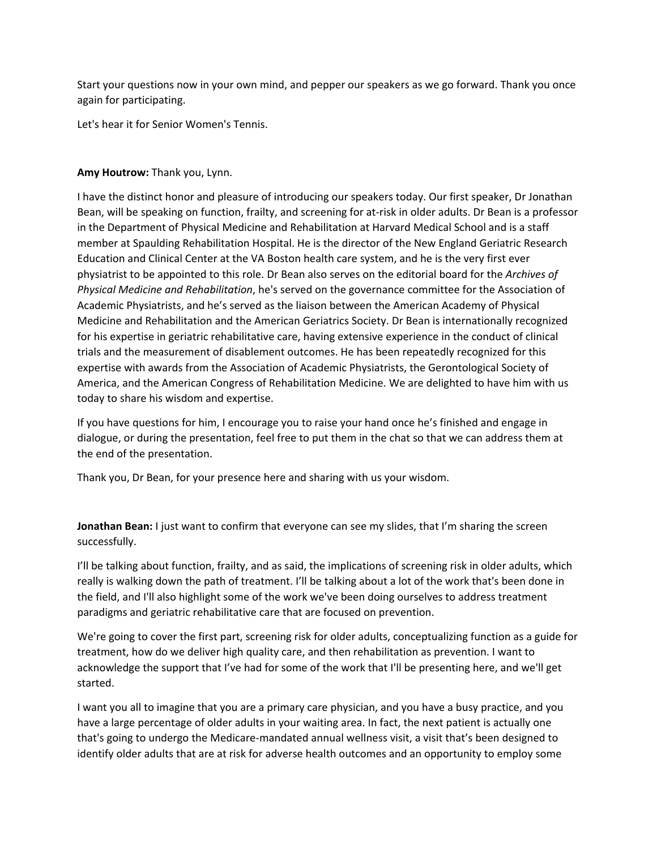Start your questions now in your own mind, and pepper our speakers as we go forward. Thank you once again for participating.

Let's hear it for Senior Women's Tennis.

## **Amy Houtrow:** Thank you, Lynn.

I have the distinct honor and pleasure of introducing our speakers today. Our first speaker, Dr Jonathan Bean, will be speaking on function, frailty, and screening for at‐risk in older adults. Dr Bean is a professor in the Department of Physical Medicine and Rehabilitation at Harvard Medical School and is a staff member at Spaulding Rehabilitation Hospital. He is the director of the New England Geriatric Research Education and Clinical Center at the VA Boston health care system, and he is the very first ever physiatrist to be appointed to this role. Dr Bean also serves on the editorial board for the *Archives of Physical Medicine and Rehabilitation*, he's served on the governance committee for the Association of Academic Physiatrists, and he's served as the liaison between the American Academy of Physical Medicine and Rehabilitation and the American Geriatrics Society. Dr Bean is internationally recognized for his expertise in geriatric rehabilitative care, having extensive experience in the conduct of clinical trials and the measurement of disablement outcomes. He has been repeatedly recognized for this expertise with awards from the Association of Academic Physiatrists, the Gerontological Society of America, and the American Congress of Rehabilitation Medicine. We are delighted to have him with us today to share his wisdom and expertise.

If you have questions for him, I encourage you to raise your hand once he's finished and engage in dialogue, or during the presentation, feel free to put them in the chat so that we can address them at the end of the presentation.

Thank you, Dr Bean, for your presence here and sharing with us your wisdom.

**Jonathan Bean:** I just want to confirm that everyone can see my slides, that I'm sharing the screen successfully.

I'll be talking about function, frailty, and as said, the implications of screening risk in older adults, which really is walking down the path of treatment. I'll be talking about a lot of the work that's been done in the field, and I'll also highlight some of the work we've been doing ourselves to address treatment paradigms and geriatric rehabilitative care that are focused on prevention.

We're going to cover the first part, screening risk for older adults, conceptualizing function as a guide for treatment, how do we deliver high quality care, and then rehabilitation as prevention. I want to acknowledge the support that I've had for some of the work that I'll be presenting here, and we'll get started.

I want you all to imagine that you are a primary care physician, and you have a busy practice, and you have a large percentage of older adults in your waiting area. In fact, the next patient is actually one that's going to undergo the Medicare‐mandated annual wellness visit, a visit that's been designed to identify older adults that are at risk for adverse health outcomes and an opportunity to employ some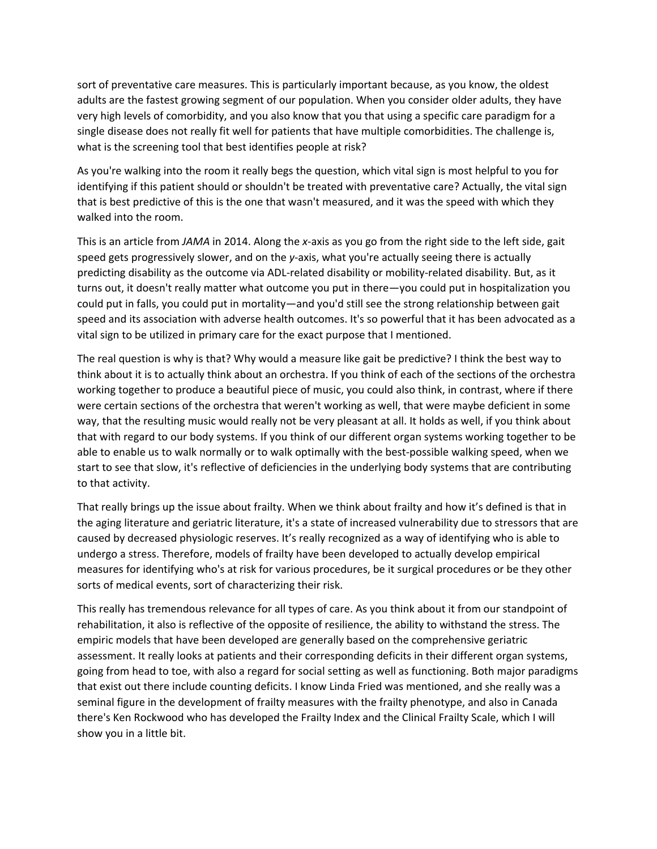sort of preventative care measures. This is particularly important because, as you know, the oldest adults are the fastest growing segment of our population. When you consider older adults, they have very high levels of comorbidity, and you also know that you that using a specific care paradigm for a single disease does not really fit well for patients that have multiple comorbidities. The challenge is, what is the screening tool that best identifies people at risk?

As you're walking into the room it really begs the question, which vital sign is most helpful to you for identifying if this patient should or shouldn't be treated with preventative care? Actually, the vital sign that is best predictive of this is the one that wasn't measured, and it was the speed with which they walked into the room.

This is an article from *JAMA* in 2014. Along the *x*‐axis as you go from the right side to the left side, gait speed gets progressively slower, and on the *y*-axis, what you're actually seeing there is actually predicting disability as the outcome via ADL‐related disability or mobility‐related disability. But, as it turns out, it doesn't really matter what outcome you put in there—you could put in hospitalization you could put in falls, you could put in mortality—and you'd still see the strong relationship between gait speed and its association with adverse health outcomes. It's so powerful that it has been advocated as a vital sign to be utilized in primary care for the exact purpose that I mentioned.

The real question is why is that? Why would a measure like gait be predictive? I think the best way to think about it is to actually think about an orchestra. If you think of each of the sections of the orchestra working together to produce a beautiful piece of music, you could also think, in contrast, where if there were certain sections of the orchestra that weren't working as well, that were maybe deficient in some way, that the resulting music would really not be very pleasant at all. It holds as well, if you think about that with regard to our body systems. If you think of our different organ systems working together to be able to enable us to walk normally or to walk optimally with the best-possible walking speed, when we start to see that slow, it's reflective of deficiencies in the underlying body systems that are contributing to that activity.

That really brings up the issue about frailty. When we think about frailty and how it's defined is that in the aging literature and geriatric literature, it's a state of increased vulnerability due to stressors that are caused by decreased physiologic reserves. It's really recognized as a way of identifying who is able to undergo a stress. Therefore, models of frailty have been developed to actually develop empirical measures for identifying who's at risk for various procedures, be it surgical procedures or be they other sorts of medical events, sort of characterizing their risk.

This really has tremendous relevance for all types of care. As you think about it from our standpoint of rehabilitation, it also is reflective of the opposite of resilience, the ability to withstand the stress. The empiric models that have been developed are generally based on the comprehensive geriatric assessment. It really looks at patients and their corresponding deficits in their different organ systems, going from head to toe, with also a regard for social setting as well as functioning. Both major paradigms that exist out there include counting deficits. I know Linda Fried was mentioned, and she really was a seminal figure in the development of frailty measures with the frailty phenotype, and also in Canada there's Ken Rockwood who has developed the Frailty Index and the Clinical Frailty Scale, which I will show you in a little bit.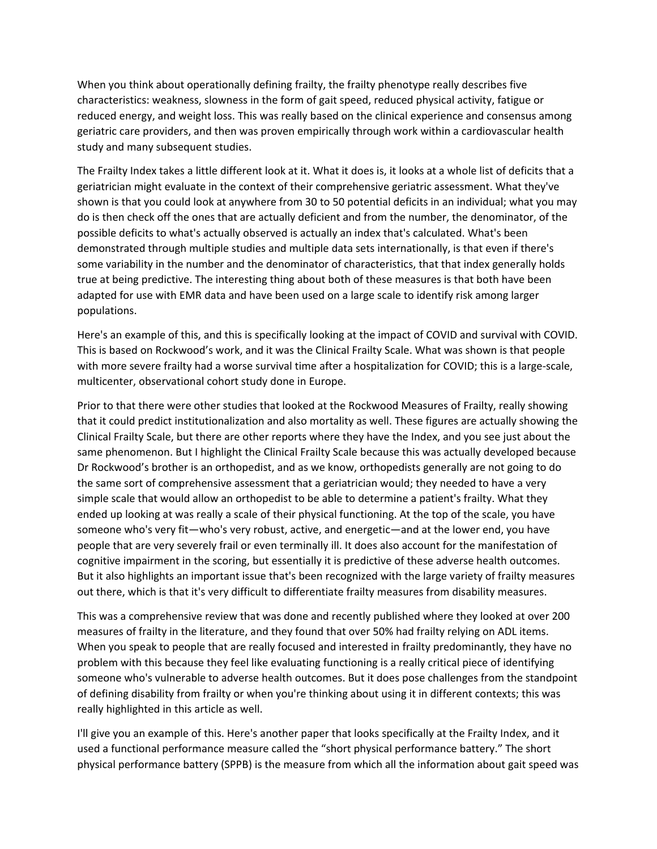When you think about operationally defining frailty, the frailty phenotype really describes five characteristics: weakness, slowness in the form of gait speed, reduced physical activity, fatigue or reduced energy, and weight loss. This was really based on the clinical experience and consensus among geriatric care providers, and then was proven empirically through work within a cardiovascular health study and many subsequent studies.

The Frailty Index takes a little different look at it. What it does is, it looks at a whole list of deficits that a geriatrician might evaluate in the context of their comprehensive geriatric assessment. What they've shown is that you could look at anywhere from 30 to 50 potential deficits in an individual; what you may do is then check off the ones that are actually deficient and from the number, the denominator, of the possible deficits to what's actually observed is actually an index that's calculated. What's been demonstrated through multiple studies and multiple data sets internationally, is that even if there's some variability in the number and the denominator of characteristics, that that index generally holds true at being predictive. The interesting thing about both of these measures is that both have been adapted for use with EMR data and have been used on a large scale to identify risk among larger populations.

Here's an example of this, and this is specifically looking at the impact of COVID and survival with COVID. This is based on Rockwood's work, and it was the Clinical Frailty Scale. What was shown is that people with more severe frailty had a worse survival time after a hospitalization for COVID; this is a large-scale, multicenter, observational cohort study done in Europe.

Prior to that there were other studies that looked at the Rockwood Measures of Frailty, really showing that it could predict institutionalization and also mortality as well. These figures are actually showing the Clinical Frailty Scale, but there are other reports where they have the Index, and you see just about the same phenomenon. But I highlight the Clinical Frailty Scale because this was actually developed because Dr Rockwood's brother is an orthopedist, and as we know, orthopedists generally are not going to do the same sort of comprehensive assessment that a geriatrician would; they needed to have a very simple scale that would allow an orthopedist to be able to determine a patient's frailty. What they ended up looking at was really a scale of their physical functioning. At the top of the scale, you have someone who's very fit—who's very robust, active, and energetic—and at the lower end, you have people that are very severely frail or even terminally ill. It does also account for the manifestation of cognitive impairment in the scoring, but essentially it is predictive of these adverse health outcomes. But it also highlights an important issue that's been recognized with the large variety of frailty measures out there, which is that it's very difficult to differentiate frailty measures from disability measures.

This was a comprehensive review that was done and recently published where they looked at over 200 measures of frailty in the literature, and they found that over 50% had frailty relying on ADL items. When you speak to people that are really focused and interested in frailty predominantly, they have no problem with this because they feel like evaluating functioning is a really critical piece of identifying someone who's vulnerable to adverse health outcomes. But it does pose challenges from the standpoint of defining disability from frailty or when you're thinking about using it in different contexts; this was really highlighted in this article as well.

I'll give you an example of this. Here's another paper that looks specifically at the Frailty Index, and it used a functional performance measure called the "short physical performance battery." The short physical performance battery (SPPB) is the measure from which all the information about gait speed was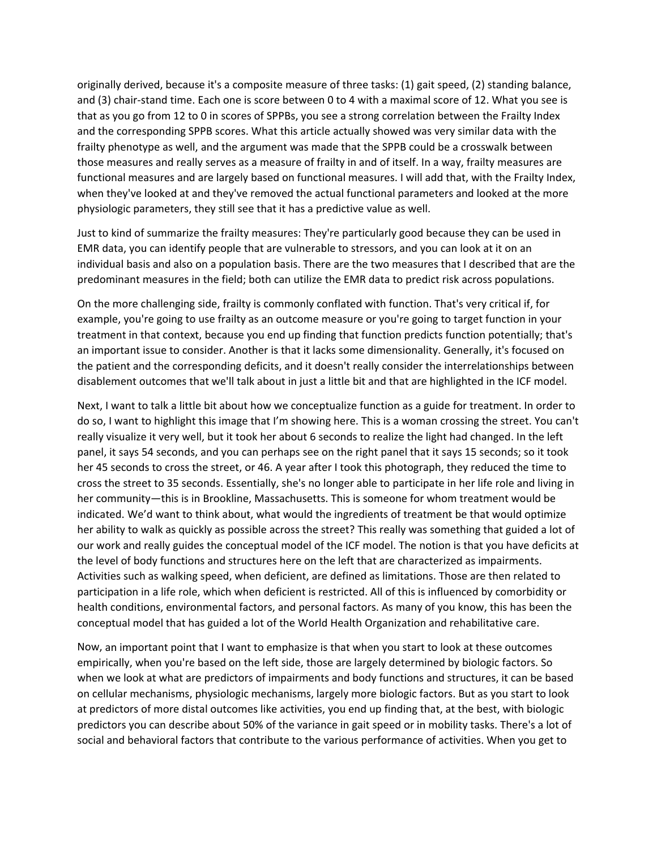originally derived, because it's a composite measure of three tasks: (1) gait speed, (2) standing balance, and (3) chair-stand time. Each one is score between 0 to 4 with a maximal score of 12. What you see is that as you go from 12 to 0 in scores of SPPBs, you see a strong correlation between the Frailty Index and the corresponding SPPB scores. What this article actually showed was very similar data with the frailty phenotype as well, and the argument was made that the SPPB could be a crosswalk between those measures and really serves as a measure of frailty in and of itself. In a way, frailty measures are functional measures and are largely based on functional measures. I will add that, with the Frailty Index, when they've looked at and they've removed the actual functional parameters and looked at the more physiologic parameters, they still see that it has a predictive value as well.

Just to kind of summarize the frailty measures: They're particularly good because they can be used in EMR data, you can identify people that are vulnerable to stressors, and you can look at it on an individual basis and also on a population basis. There are the two measures that I described that are the predominant measures in the field; both can utilize the EMR data to predict risk across populations.

On the more challenging side, frailty is commonly conflated with function. That's very critical if, for example, you're going to use frailty as an outcome measure or you're going to target function in your treatment in that context, because you end up finding that function predicts function potentially; that's an important issue to consider. Another is that it lacks some dimensionality. Generally, it's focused on the patient and the corresponding deficits, and it doesn't really consider the interrelationships between disablement outcomes that we'll talk about in just a little bit and that are highlighted in the ICF model.

Next, I want to talk a little bit about how we conceptualize function as a guide for treatment. In order to do so, I want to highlight this image that I'm showing here. This is a woman crossing the street. You can't really visualize it very well, but it took her about 6 seconds to realize the light had changed. In the left panel, it says 54 seconds, and you can perhaps see on the right panel that it says 15 seconds; so it took her 45 seconds to cross the street, or 46. A year after I took this photograph, they reduced the time to cross the street to 35 seconds. Essentially, she's no longer able to participate in her life role and living in her community—this is in Brookline, Massachusetts. This is someone for whom treatment would be indicated. We'd want to think about, what would the ingredients of treatment be that would optimize her ability to walk as quickly as possible across the street? This really was something that guided a lot of our work and really guides the conceptual model of the ICF model. The notion is that you have deficits at the level of body functions and structures here on the left that are characterized as impairments. Activities such as walking speed, when deficient, are defined as limitations. Those are then related to participation in a life role, which when deficient is restricted. All of this is influenced by comorbidity or health conditions, environmental factors, and personal factors. As many of you know, this has been the conceptual model that has guided a lot of the World Health Organization and rehabilitative care.

Now, an important point that I want to emphasize is that when you start to look at these outcomes empirically, when you're based on the left side, those are largely determined by biologic factors. So when we look at what are predictors of impairments and body functions and structures, it can be based on cellular mechanisms, physiologic mechanisms, largely more biologic factors. But as you start to look at predictors of more distal outcomes like activities, you end up finding that, at the best, with biologic predictors you can describe about 50% of the variance in gait speed or in mobility tasks. There's a lot of social and behavioral factors that contribute to the various performance of activities. When you get to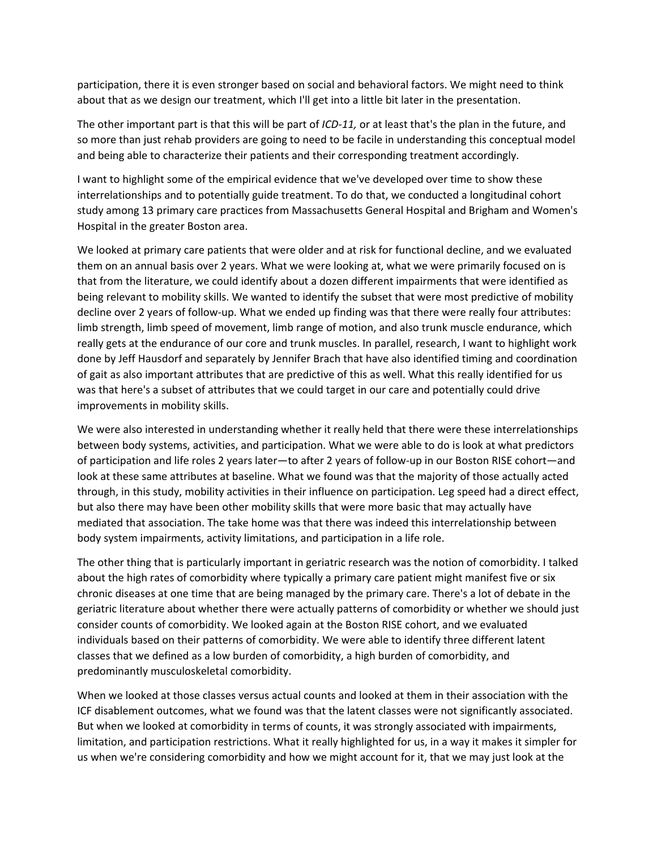participation, there it is even stronger based on social and behavioral factors. We might need to think about that as we design our treatment, which I'll get into a little bit later in the presentation.

The other important part is that this will be part of *ICD‐11,* or at least that's the plan in the future, and so more than just rehab providers are going to need to be facile in understanding this conceptual model and being able to characterize their patients and their corresponding treatment accordingly.

I want to highlight some of the empirical evidence that we've developed over time to show these interrelationships and to potentially guide treatment. To do that, we conducted a longitudinal cohort study among 13 primary care practices from Massachusetts General Hospital and Brigham and Women's Hospital in the greater Boston area.

We looked at primary care patients that were older and at risk for functional decline, and we evaluated them on an annual basis over 2 years. What we were looking at, what we were primarily focused on is that from the literature, we could identify about a dozen different impairments that were identified as being relevant to mobility skills. We wanted to identify the subset that were most predictive of mobility decline over 2 years of follow-up. What we ended up finding was that there were really four attributes: limb strength, limb speed of movement, limb range of motion, and also trunk muscle endurance, which really gets at the endurance of our core and trunk muscles. In parallel, research, I want to highlight work done by Jeff Hausdorf and separately by Jennifer Brach that have also identified timing and coordination of gait as also important attributes that are predictive of this as well. What this really identified for us was that here's a subset of attributes that we could target in our care and potentially could drive improvements in mobility skills.

We were also interested in understanding whether it really held that there were these interrelationships between body systems, activities, and participation. What we were able to do is look at what predictors of participation and life roles 2 years later—to after 2 years of follow‐up in our Boston RISE cohort—and look at these same attributes at baseline. What we found was that the majority of those actually acted through, in this study, mobility activities in their influence on participation. Leg speed had a direct effect, but also there may have been other mobility skills that were more basic that may actually have mediated that association. The take home was that there was indeed this interrelationship between body system impairments, activity limitations, and participation in a life role.

The other thing that is particularly important in geriatric research was the notion of comorbidity. I talked about the high rates of comorbidity where typically a primary care patient might manifest five or six chronic diseases at one time that are being managed by the primary care. There's a lot of debate in the geriatric literature about whether there were actually patterns of comorbidity or whether we should just consider counts of comorbidity. We looked again at the Boston RISE cohort, and we evaluated individuals based on their patterns of comorbidity. We were able to identify three different latent classes that we defined as a low burden of comorbidity, a high burden of comorbidity, and predominantly musculoskeletal comorbidity.

When we looked at those classes versus actual counts and looked at them in their association with the ICF disablement outcomes, what we found was that the latent classes were not significantly associated. But when we looked at comorbidity in terms of counts, it was strongly associated with impairments, limitation, and participation restrictions. What it really highlighted for us, in a way it makes it simpler for us when we're considering comorbidity and how we might account for it, that we may just look at the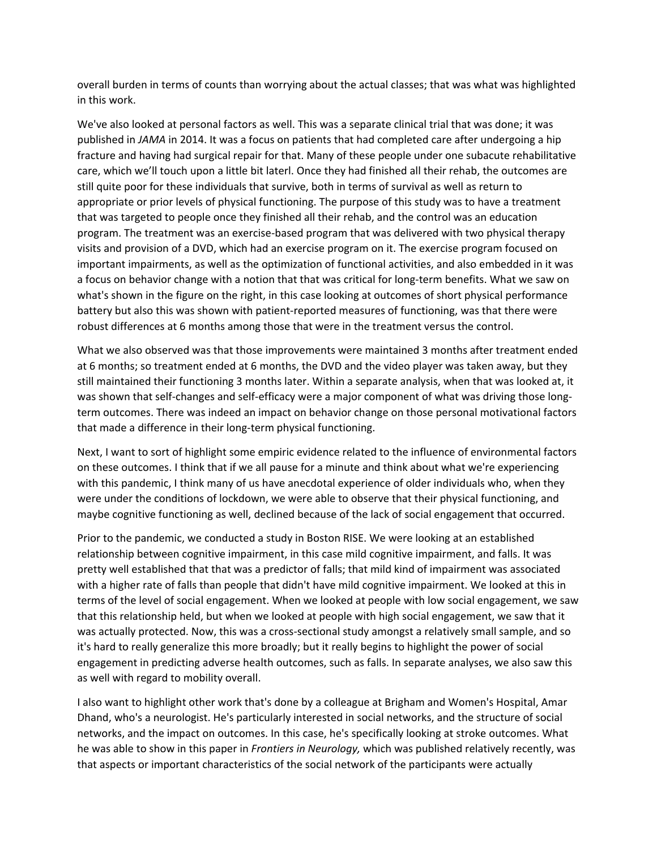overall burden in terms of counts than worrying about the actual classes; that was what was highlighted in this work.

We've also looked at personal factors as well. This was a separate clinical trial that was done; it was published in *JAMA* in 2014. It was a focus on patients that had completed care after undergoing a hip fracture and having had surgical repair for that. Many of these people under one subacute rehabilitative care, which we'll touch upon a little bit laterl. Once they had finished all their rehab, the outcomes are still quite poor for these individuals that survive, both in terms of survival as well as return to appropriate or prior levels of physical functioning. The purpose of this study was to have a treatment that was targeted to people once they finished all their rehab, and the control was an education program. The treatment was an exercise‐based program that was delivered with two physical therapy visits and provision of a DVD, which had an exercise program on it. The exercise program focused on important impairments, as well as the optimization of functional activities, and also embedded in it was a focus on behavior change with a notion that that was critical for long-term benefits. What we saw on what's shown in the figure on the right, in this case looking at outcomes of short physical performance battery but also this was shown with patient-reported measures of functioning, was that there were robust differences at 6 months among those that were in the treatment versus the control.

What we also observed was that those improvements were maintained 3 months after treatment ended at 6 months; so treatment ended at 6 months, the DVD and the video player was taken away, but they still maintained their functioning 3 months later. Within a separate analysis, when that was looked at, it was shown that self-changes and self-efficacy were a major component of what was driving those longterm outcomes. There was indeed an impact on behavior change on those personal motivational factors that made a difference in their long‐term physical functioning.

Next, I want to sort of highlight some empiric evidence related to the influence of environmental factors on these outcomes. I think that if we all pause for a minute and think about what we're experiencing with this pandemic, I think many of us have anecdotal experience of older individuals who, when they were under the conditions of lockdown, we were able to observe that their physical functioning, and maybe cognitive functioning as well, declined because of the lack of social engagement that occurred.

Prior to the pandemic, we conducted a study in Boston RISE. We were looking at an established relationship between cognitive impairment, in this case mild cognitive impairment, and falls. It was pretty well established that that was a predictor of falls; that mild kind of impairment was associated with a higher rate of falls than people that didn't have mild cognitive impairment. We looked at this in terms of the level of social engagement. When we looked at people with low social engagement, we saw that this relationship held, but when we looked at people with high social engagement, we saw that it was actually protected. Now, this was a cross-sectional study amongst a relatively small sample, and so it's hard to really generalize this more broadly; but it really begins to highlight the power of social engagement in predicting adverse health outcomes, such as falls. In separate analyses, we also saw this as well with regard to mobility overall.

I also want to highlight other work that's done by a colleague at Brigham and Women's Hospital, Amar Dhand, who's a neurologist. He's particularly interested in social networks, and the structure of social networks, and the impact on outcomes. In this case, he's specifically looking at stroke outcomes. What he was able to show in this paper in *Frontiers in Neurology,* which was published relatively recently, was that aspects or important characteristics of the social network of the participants were actually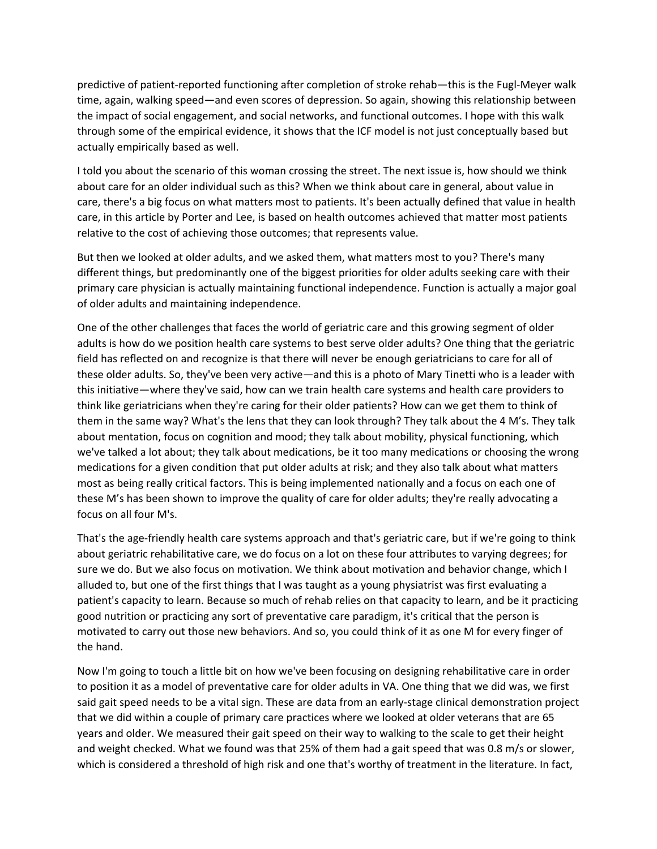predictive of patient‐reported functioning after completion of stroke rehab—this is the Fugl‐Meyer walk time, again, walking speed—and even scores of depression. So again, showing this relationship between the impact of social engagement, and social networks, and functional outcomes. I hope with this walk through some of the empirical evidence, it shows that the ICF model is not just conceptually based but actually empirically based as well.

I told you about the scenario of this woman crossing the street. The next issue is, how should we think about care for an older individual such as this? When we think about care in general, about value in care, there's a big focus on what matters most to patients. It's been actually defined that value in health care, in this article by Porter and Lee, is based on health outcomes achieved that matter most patients relative to the cost of achieving those outcomes; that represents value.

But then we looked at older adults, and we asked them, what matters most to you? There's many different things, but predominantly one of the biggest priorities for older adults seeking care with their primary care physician is actually maintaining functional independence. Function is actually a major goal of older adults and maintaining independence.

One of the other challenges that faces the world of geriatric care and this growing segment of older adults is how do we position health care systems to best serve older adults? One thing that the geriatric field has reflected on and recognize is that there will never be enough geriatricians to care for all of these older adults. So, they've been very active—and this is a photo of Mary Tinetti who is a leader with this initiative—where they've said, how can we train health care systems and health care providers to think like geriatricians when they're caring for their older patients? How can we get them to think of them in the same way? What's the lens that they can look through? They talk about the 4 M's. They talk about mentation, focus on cognition and mood; they talk about mobility, physical functioning, which we've talked a lot about; they talk about medications, be it too many medications or choosing the wrong medications for a given condition that put older adults at risk; and they also talk about what matters most as being really critical factors. This is being implemented nationally and a focus on each one of these M's has been shown to improve the quality of care for older adults; they're really advocating a focus on all four M's.

That's the age‐friendly health care systems approach and that's geriatric care, but if we're going to think about geriatric rehabilitative care, we do focus on a lot on these four attributes to varying degrees; for sure we do. But we also focus on motivation. We think about motivation and behavior change, which I alluded to, but one of the first things that I was taught as a young physiatrist was first evaluating a patient's capacity to learn. Because so much of rehab relies on that capacity to learn, and be it practicing good nutrition or practicing any sort of preventative care paradigm, it's critical that the person is motivated to carry out those new behaviors. And so, you could think of it as one M for every finger of the hand.

Now I'm going to touch a little bit on how we've been focusing on designing rehabilitative care in order to position it as a model of preventative care for older adults in VA. One thing that we did was, we first said gait speed needs to be a vital sign. These are data from an early-stage clinical demonstration project that we did within a couple of primary care practices where we looked at older veterans that are 65 years and older. We measured their gait speed on their way to walking to the scale to get their height and weight checked. What we found was that 25% of them had a gait speed that was 0.8 m/s or slower, which is considered a threshold of high risk and one that's worthy of treatment in the literature. In fact,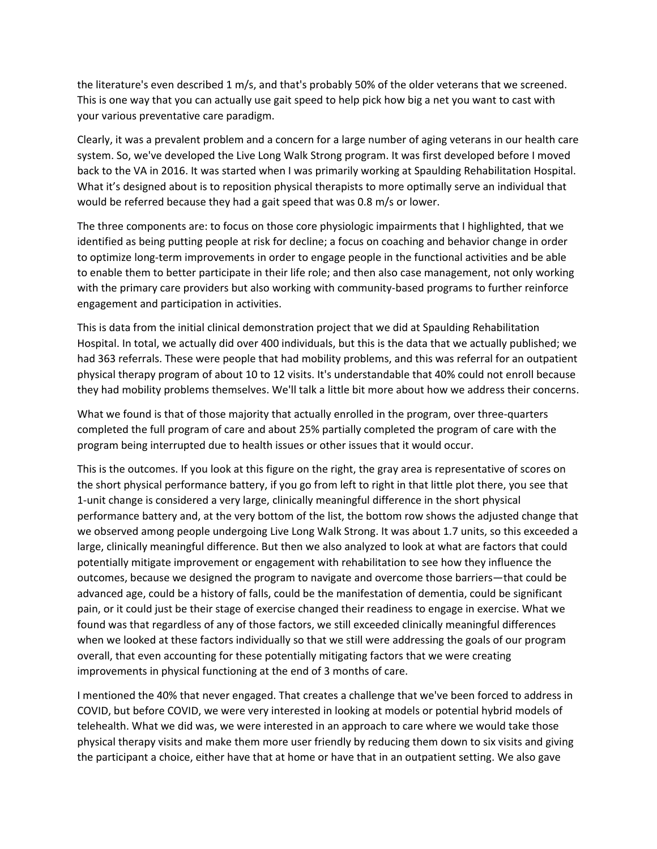the literature's even described 1 m/s, and that's probably 50% of the older veterans that we screened. This is one way that you can actually use gait speed to help pick how big a net you want to cast with your various preventative care paradigm.

Clearly, it was a prevalent problem and a concern for a large number of aging veterans in our health care system. So, we've developed the Live Long Walk Strong program. It was first developed before I moved back to the VA in 2016. It was started when I was primarily working at Spaulding Rehabilitation Hospital. What it's designed about is to reposition physical therapists to more optimally serve an individual that would be referred because they had a gait speed that was 0.8 m/s or lower.

The three components are: to focus on those core physiologic impairments that I highlighted, that we identified as being putting people at risk for decline; a focus on coaching and behavior change in order to optimize long‐term improvements in order to engage people in the functional activities and be able to enable them to better participate in their life role; and then also case management, not only working with the primary care providers but also working with community-based programs to further reinforce engagement and participation in activities.

This is data from the initial clinical demonstration project that we did at Spaulding Rehabilitation Hospital. In total, we actually did over 400 individuals, but this is the data that we actually published; we had 363 referrals. These were people that had mobility problems, and this was referral for an outpatient physical therapy program of about 10 to 12 visits. It's understandable that 40% could not enroll because they had mobility problems themselves. We'll talk a little bit more about how we address their concerns.

What we found is that of those majority that actually enrolled in the program, over three-quarters completed the full program of care and about 25% partially completed the program of care with the program being interrupted due to health issues or other issues that it would occur.

This is the outcomes. If you look at this figure on the right, the gray area is representative of scores on the short physical performance battery, if you go from left to right in that little plot there, you see that 1‐unit change is considered a very large, clinically meaningful difference in the short physical performance battery and, at the very bottom of the list, the bottom row shows the adjusted change that we observed among people undergoing Live Long Walk Strong. It was about 1.7 units, so this exceeded a large, clinically meaningful difference. But then we also analyzed to look at what are factors that could potentially mitigate improvement or engagement with rehabilitation to see how they influence the outcomes, because we designed the program to navigate and overcome those barriers—that could be advanced age, could be a history of falls, could be the manifestation of dementia, could be significant pain, or it could just be their stage of exercise changed their readiness to engage in exercise. What we found was that regardless of any of those factors, we still exceeded clinically meaningful differences when we looked at these factors individually so that we still were addressing the goals of our program overall, that even accounting for these potentially mitigating factors that we were creating improvements in physical functioning at the end of 3 months of care.

I mentioned the 40% that never engaged. That creates a challenge that we've been forced to address in COVID, but before COVID, we were very interested in looking at models or potential hybrid models of telehealth. What we did was, we were interested in an approach to care where we would take those physical therapy visits and make them more user friendly by reducing them down to six visits and giving the participant a choice, either have that at home or have that in an outpatient setting. We also gave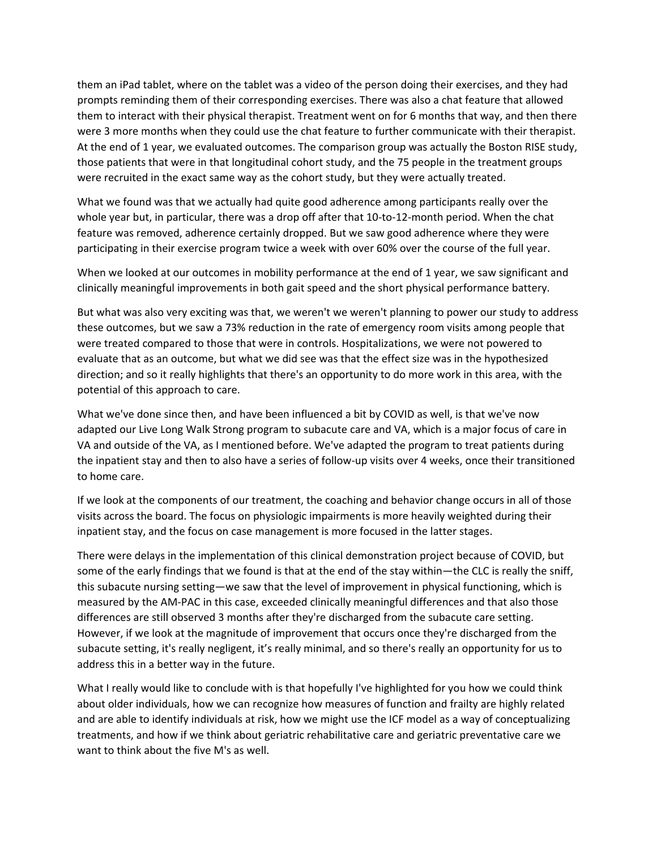them an iPad tablet, where on the tablet was a video of the person doing their exercises, and they had prompts reminding them of their corresponding exercises. There was also a chat feature that allowed them to interact with their physical therapist. Treatment went on for 6 months that way, and then there were 3 more months when they could use the chat feature to further communicate with their therapist. At the end of 1 year, we evaluated outcomes. The comparison group was actually the Boston RISE study, those patients that were in that longitudinal cohort study, and the 75 people in the treatment groups were recruited in the exact same way as the cohort study, but they were actually treated.

What we found was that we actually had quite good adherence among participants really over the whole year but, in particular, there was a drop off after that 10-to-12-month period. When the chat feature was removed, adherence certainly dropped. But we saw good adherence where they were participating in their exercise program twice a week with over 60% over the course of the full year.

When we looked at our outcomes in mobility performance at the end of 1 year, we saw significant and clinically meaningful improvements in both gait speed and the short physical performance battery.

But what was also very exciting was that, we weren't we weren't planning to power our study to address these outcomes, but we saw a 73% reduction in the rate of emergency room visits among people that were treated compared to those that were in controls. Hospitalizations, we were not powered to evaluate that as an outcome, but what we did see was that the effect size was in the hypothesized direction; and so it really highlights that there's an opportunity to do more work in this area, with the potential of this approach to care.

What we've done since then, and have been influenced a bit by COVID as well, is that we've now adapted our Live Long Walk Strong program to subacute care and VA, which is a major focus of care in VA and outside of the VA, as I mentioned before. We've adapted the program to treat patients during the inpatient stay and then to also have a series of follow‐up visits over 4 weeks, once their transitioned to home care.

If we look at the components of our treatment, the coaching and behavior change occurs in all of those visits across the board. The focus on physiologic impairments is more heavily weighted during their inpatient stay, and the focus on case management is more focused in the latter stages.

There were delays in the implementation of this clinical demonstration project because of COVID, but some of the early findings that we found is that at the end of the stay within—the CLC is really the sniff, this subacute nursing setting—we saw that the level of improvement in physical functioning, which is measured by the AM‐PAC in this case, exceeded clinically meaningful differences and that also those differences are still observed 3 months after they're discharged from the subacute care setting. However, if we look at the magnitude of improvement that occurs once they're discharged from the subacute setting, it's really negligent, it's really minimal, and so there's really an opportunity for us to address this in a better way in the future.

What I really would like to conclude with is that hopefully I've highlighted for you how we could think about older individuals, how we can recognize how measures of function and frailty are highly related and are able to identify individuals at risk, how we might use the ICF model as a way of conceptualizing treatments, and how if we think about geriatric rehabilitative care and geriatric preventative care we want to think about the five M's as well.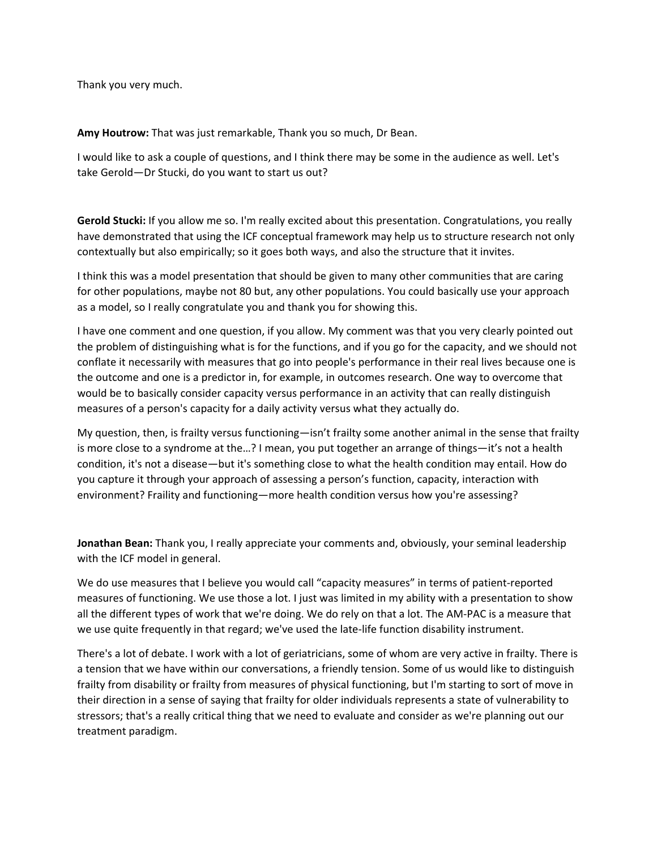Thank you very much.

**Amy Houtrow:** That was just remarkable, Thank you so much, Dr Bean.

I would like to ask a couple of questions, and I think there may be some in the audience as well. Let's take Gerold—Dr Stucki, do you want to start us out?

**Gerold Stucki:** If you allow me so. I'm really excited about this presentation. Congratulations, you really have demonstrated that using the ICF conceptual framework may help us to structure research not only contextually but also empirically; so it goes both ways, and also the structure that it invites.

I think this was a model presentation that should be given to many other communities that are caring for other populations, maybe not 80 but, any other populations. You could basically use your approach as a model, so I really congratulate you and thank you for showing this.

I have one comment and one question, if you allow. My comment was that you very clearly pointed out the problem of distinguishing what is for the functions, and if you go for the capacity, and we should not conflate it necessarily with measures that go into people's performance in their real lives because one is the outcome and one is a predictor in, for example, in outcomes research. One way to overcome that would be to basically consider capacity versus performance in an activity that can really distinguish measures of a person's capacity for a daily activity versus what they actually do.

My question, then, is frailty versus functioning—isn't frailty some another animal in the sense that frailty is more close to a syndrome at the…? I mean, you put together an arrange of things—it's not a health condition, it's not a disease—but it's something close to what the health condition may entail. How do you capture it through your approach of assessing a person's function, capacity, interaction with environment? Fraility and functioning—more health condition versus how you're assessing?

**Jonathan Bean:** Thank you, I really appreciate your comments and, obviously, your seminal leadership with the ICF model in general.

We do use measures that I believe you would call "capacity measures" in terms of patient‐reported measures of functioning. We use those a lot. I just was limited in my ability with a presentation to show all the different types of work that we're doing. We do rely on that a lot. The AM‐PAC is a measure that we use quite frequently in that regard; we've used the late-life function disability instrument.

There's a lot of debate. I work with a lot of geriatricians, some of whom are very active in frailty. There is a tension that we have within our conversations, a friendly tension. Some of us would like to distinguish frailty from disability or frailty from measures of physical functioning, but I'm starting to sort of move in their direction in a sense of saying that frailty for older individuals represents a state of vulnerability to stressors; that's a really critical thing that we need to evaluate and consider as we're planning out our treatment paradigm.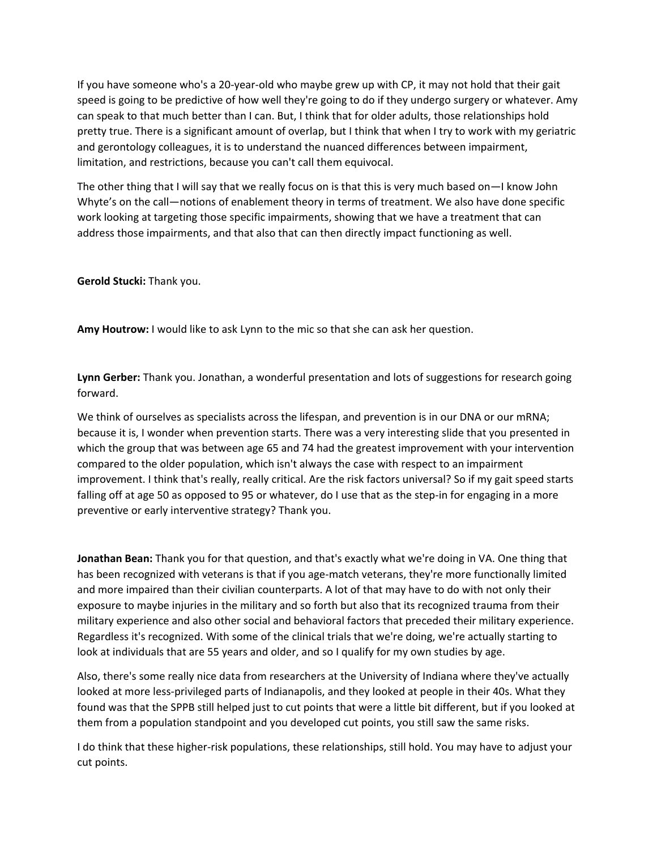If you have someone who's a 20‐year‐old who maybe grew up with CP, it may not hold that their gait speed is going to be predictive of how well they're going to do if they undergo surgery or whatever. Amy can speak to that much better than I can. But, I think that for older adults, those relationships hold pretty true. There is a significant amount of overlap, but I think that when I try to work with my geriatric and gerontology colleagues, it is to understand the nuanced differences between impairment, limitation, and restrictions, because you can't call them equivocal.

The other thing that I will say that we really focus on is that this is very much based on—I know John Whyte's on the call—notions of enablement theory in terms of treatment. We also have done specific work looking at targeting those specific impairments, showing that we have a treatment that can address those impairments, and that also that can then directly impact functioning as well.

**Gerold Stucki:** Thank you.

**Amy Houtrow:** I would like to ask Lynn to the mic so that she can ask her question.

**Lynn Gerber:** Thank you. Jonathan, a wonderful presentation and lots of suggestions for research going forward.

We think of ourselves as specialists across the lifespan, and prevention is in our DNA or our mRNA; because it is, I wonder when prevention starts. There was a very interesting slide that you presented in which the group that was between age 65 and 74 had the greatest improvement with your intervention compared to the older population, which isn't always the case with respect to an impairment improvement. I think that's really, really critical. Are the risk factors universal? So if my gait speed starts falling off at age 50 as opposed to 95 or whatever, do I use that as the step-in for engaging in a more preventive or early interventive strategy? Thank you.

**Jonathan Bean:** Thank you for that question, and that's exactly what we're doing in VA. One thing that has been recognized with veterans is that if you age-match veterans, they're more functionally limited and more impaired than their civilian counterparts. A lot of that may have to do with not only their exposure to maybe injuries in the military and so forth but also that its recognized trauma from their military experience and also other social and behavioral factors that preceded their military experience. Regardless it's recognized. With some of the clinical trials that we're doing, we're actually starting to look at individuals that are 55 years and older, and so I qualify for my own studies by age.

Also, there's some really nice data from researchers at the University of Indiana where they've actually looked at more less‐privileged parts of Indianapolis, and they looked at people in their 40s. What they found was that the SPPB still helped just to cut points that were a little bit different, but if you looked at them from a population standpoint and you developed cut points, you still saw the same risks.

I do think that these higher‐risk populations, these relationships, still hold. You may have to adjust your cut points.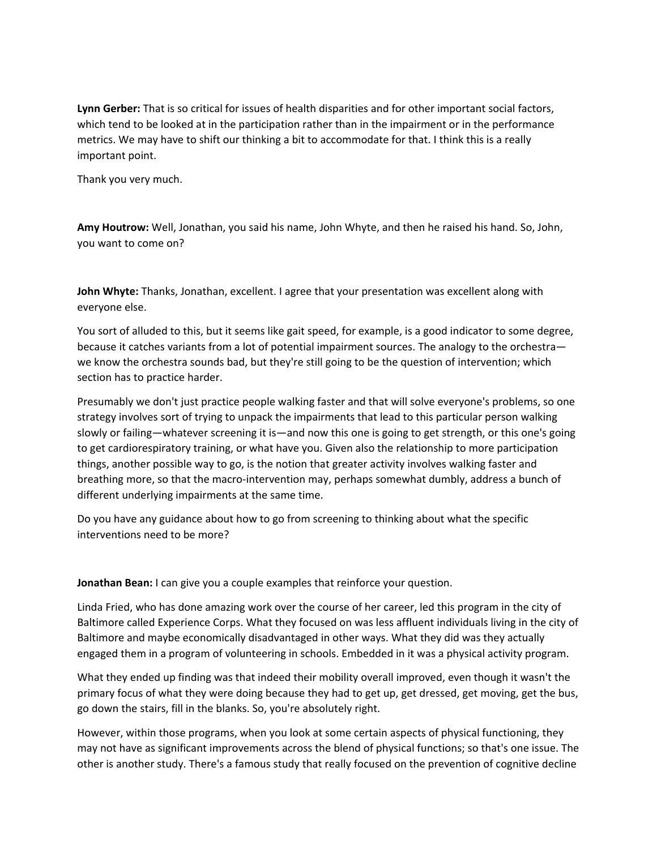**Lynn Gerber:** That is so critical for issues of health disparities and for other important social factors, which tend to be looked at in the participation rather than in the impairment or in the performance metrics. We may have to shift our thinking a bit to accommodate for that. I think this is a really important point.

Thank you very much.

**Amy Houtrow:** Well, Jonathan, you said his name, John Whyte, and then he raised his hand. So, John, you want to come on?

**John Whyte:** Thanks, Jonathan, excellent. I agree that your presentation was excellent along with everyone else.

You sort of alluded to this, but it seems like gait speed, for example, is a good indicator to some degree, because it catches variants from a lot of potential impairment sources. The analogy to the orchestra we know the orchestra sounds bad, but they're still going to be the question of intervention; which section has to practice harder.

Presumably we don't just practice people walking faster and that will solve everyone's problems, so one strategy involves sort of trying to unpack the impairments that lead to this particular person walking slowly or failing—whatever screening it is—and now this one is going to get strength, or this one's going to get cardiorespiratory training, or what have you. Given also the relationship to more participation things, another possible way to go, is the notion that greater activity involves walking faster and breathing more, so that the macro‐intervention may, perhaps somewhat dumbly, address a bunch of different underlying impairments at the same time.

Do you have any guidance about how to go from screening to thinking about what the specific interventions need to be more?

**Jonathan Bean:** I can give you a couple examples that reinforce your question.

Linda Fried, who has done amazing work over the course of her career, led this program in the city of Baltimore called Experience Corps. What they focused on was less affluent individuals living in the city of Baltimore and maybe economically disadvantaged in other ways. What they did was they actually engaged them in a program of volunteering in schools. Embedded in it was a physical activity program.

What they ended up finding was that indeed their mobility overall improved, even though it wasn't the primary focus of what they were doing because they had to get up, get dressed, get moving, get the bus, go down the stairs, fill in the blanks. So, you're absolutely right.

However, within those programs, when you look at some certain aspects of physical functioning, they may not have as significant improvements across the blend of physical functions; so that's one issue. The other is another study. There's a famous study that really focused on the prevention of cognitive decline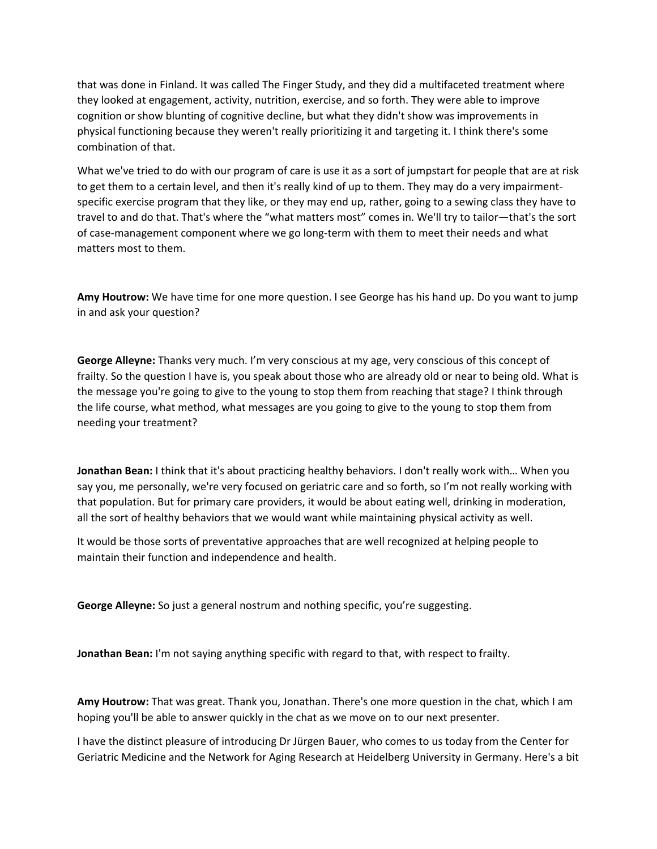that was done in Finland. It was called The Finger Study, and they did a multifaceted treatment where they looked at engagement, activity, nutrition, exercise, and so forth. They were able to improve cognition or show blunting of cognitive decline, but what they didn't show was improvements in physical functioning because they weren't really prioritizing it and targeting it. I think there's some combination of that.

What we've tried to do with our program of care is use it as a sort of jumpstart for people that are at risk to get them to a certain level, and then it's really kind of up to them. They may do a very impairment‐ specific exercise program that they like, or they may end up, rather, going to a sewing class they have to travel to and do that. That's where the "what matters most" comes in. We'll try to tailor—that's the sort of case‐management component where we go long‐term with them to meet their needs and what matters most to them.

**Amy Houtrow:** We have time for one more question. I see George has his hand up. Do you want to jump in and ask your question?

**George Alleyne:** Thanks very much. I'm very conscious at my age, very conscious of this concept of frailty. So the question I have is, you speak about those who are already old or near to being old. What is the message you're going to give to the young to stop them from reaching that stage? I think through the life course, what method, what messages are you going to give to the young to stop them from needing your treatment?

**Jonathan Bean:** I think that it's about practicing healthy behaviors. I don't really work with… When you say you, me personally, we're very focused on geriatric care and so forth, so I'm not really working with that population. But for primary care providers, it would be about eating well, drinking in moderation, all the sort of healthy behaviors that we would want while maintaining physical activity as well.

It would be those sorts of preventative approaches that are well recognized at helping people to maintain their function and independence and health.

**George Alleyne:** So just a general nostrum and nothing specific, you're suggesting.

**Jonathan Bean:** I'm not saying anything specific with regard to that, with respect to frailty.

**Amy Houtrow:** That was great. Thank you, Jonathan. There's one more question in the chat, which I am hoping you'll be able to answer quickly in the chat as we move on to our next presenter.

I have the distinct pleasure of introducing Dr Jürgen Bauer, who comes to us today from the Center for Geriatric Medicine and the Network for Aging Research at Heidelberg University in Germany. Here's a bit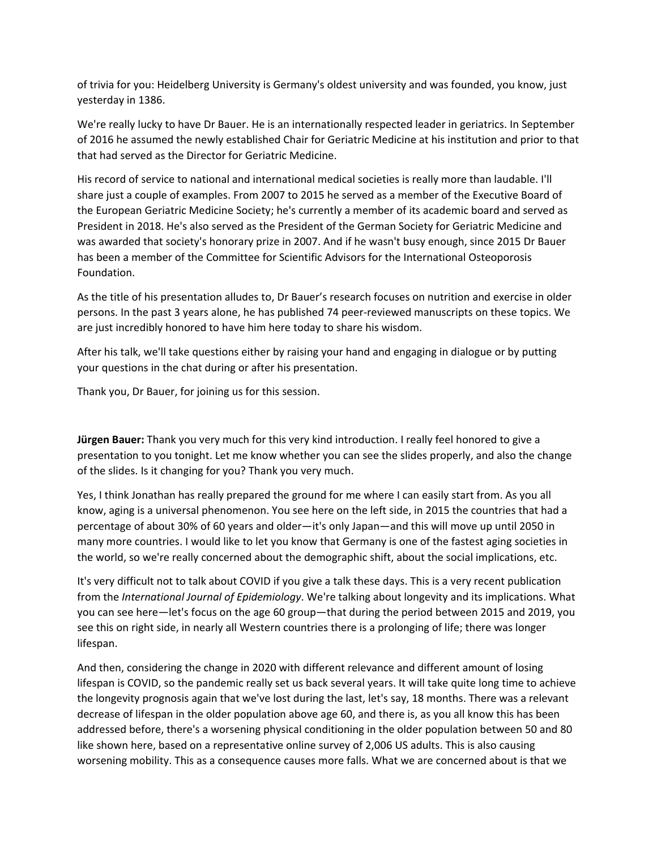of trivia for you: Heidelberg University is Germany's oldest university and was founded, you know, just yesterday in 1386.

We're really lucky to have Dr Bauer. He is an internationally respected leader in geriatrics. In September of 2016 he assumed the newly established Chair for Geriatric Medicine at his institution and prior to that that had served as the Director for Geriatric Medicine.

His record of service to national and international medical societies is really more than laudable. I'll share just a couple of examples. From 2007 to 2015 he served as a member of the Executive Board of the European Geriatric Medicine Society; he's currently a member of its academic board and served as President in 2018. He's also served as the President of the German Society for Geriatric Medicine and was awarded that society's honorary prize in 2007. And if he wasn't busy enough, since 2015 Dr Bauer has been a member of the Committee for Scientific Advisors for the International Osteoporosis Foundation.

As the title of his presentation alludes to, Dr Bauer's research focuses on nutrition and exercise in older persons. In the past 3 years alone, he has published 74 peer-reviewed manuscripts on these topics. We are just incredibly honored to have him here today to share his wisdom.

After his talk, we'll take questions either by raising your hand and engaging in dialogue or by putting your questions in the chat during or after his presentation.

Thank you, Dr Bauer, for joining us for this session.

**Jürgen Bauer:** Thank you very much for this very kind introduction. I really feel honored to give a presentation to you tonight. Let me know whether you can see the slides properly, and also the change of the slides. Is it changing for you? Thank you very much.

Yes, I think Jonathan has really prepared the ground for me where I can easily start from. As you all know, aging is a universal phenomenon. You see here on the left side, in 2015 the countries that had a percentage of about 30% of 60 years and older—it's only Japan—and this will move up until 2050 in many more countries. I would like to let you know that Germany is one of the fastest aging societies in the world, so we're really concerned about the demographic shift, about the social implications, etc.

It's very difficult not to talk about COVID if you give a talk these days. This is a very recent publication from the *International Journal of Epidemiology*. We're talking about longevity and its implications. What you can see here—let's focus on the age 60 group—that during the period between 2015 and 2019, you see this on right side, in nearly all Western countries there is a prolonging of life; there was longer lifespan.

And then, considering the change in 2020 with different relevance and different amount of losing lifespan is COVID, so the pandemic really set us back several years. It will take quite long time to achieve the longevity prognosis again that we've lost during the last, let's say, 18 months. There was a relevant decrease of lifespan in the older population above age 60, and there is, as you all know this has been addressed before, there's a worsening physical conditioning in the older population between 50 and 80 like shown here, based on a representative online survey of 2,006 US adults. This is also causing worsening mobility. This as a consequence causes more falls. What we are concerned about is that we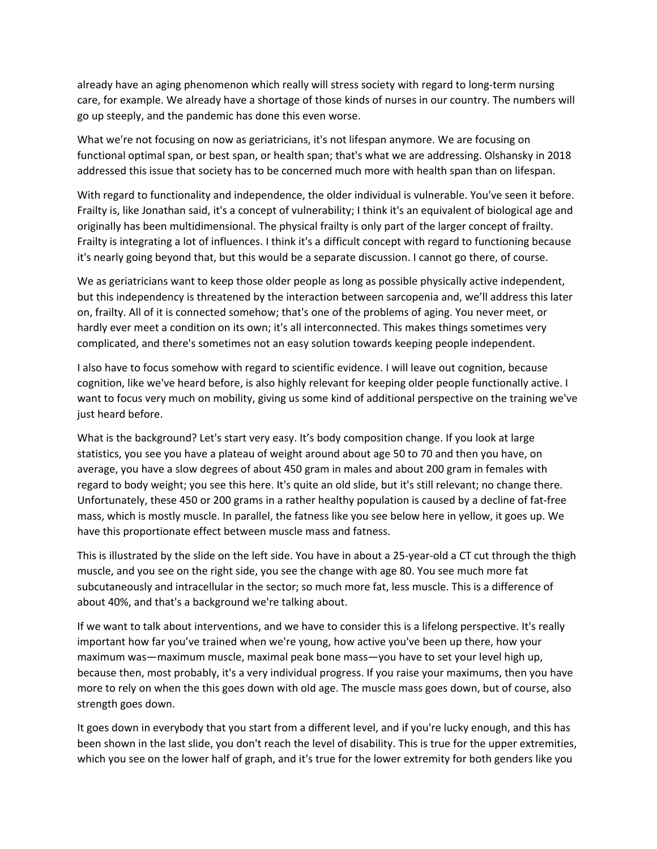already have an aging phenomenon which really will stress society with regard to long-term nursing care, for example. We already have a shortage of those kinds of nurses in our country. The numbers will go up steeply, and the pandemic has done this even worse.

What we're not focusing on now as geriatricians, it's not lifespan anymore. We are focusing on functional optimal span, or best span, or health span; that's what we are addressing. Olshansky in 2018 addressed this issue that society has to be concerned much more with health span than on lifespan.

With regard to functionality and independence, the older individual is vulnerable. You've seen it before. Frailty is, like Jonathan said, it's a concept of vulnerability; I think it's an equivalent of biological age and originally has been multidimensional. The physical frailty is only part of the larger concept of frailty. Frailty is integrating a lot of influences. I think it's a difficult concept with regard to functioning because it's nearly going beyond that, but this would be a separate discussion. I cannot go there, of course.

We as geriatricians want to keep those older people as long as possible physically active independent, but this independency is threatened by the interaction between sarcopenia and, we'll address this later on, frailty. All of it is connected somehow; that's one of the problems of aging. You never meet, or hardly ever meet a condition on its own; it's all interconnected. This makes things sometimes very complicated, and there's sometimes not an easy solution towards keeping people independent.

I also have to focus somehow with regard to scientific evidence. I will leave out cognition, because cognition, like we've heard before, is also highly relevant for keeping older people functionally active. I want to focus very much on mobility, giving us some kind of additional perspective on the training we've just heard before.

What is the background? Let's start very easy. It's body composition change. If you look at large statistics, you see you have a plateau of weight around about age 50 to 70 and then you have, on average, you have a slow degrees of about 450 gram in males and about 200 gram in females with regard to body weight; you see this here. It's quite an old slide, but it's still relevant; no change there. Unfortunately, these 450 or 200 grams in a rather healthy population is caused by a decline of fat‐free mass, which is mostly muscle. In parallel, the fatness like you see below here in yellow, it goes up. We have this proportionate effect between muscle mass and fatness.

This is illustrated by the slide on the left side. You have in about a 25‐year‐old a CT cut through the thigh muscle, and you see on the right side, you see the change with age 80. You see much more fat subcutaneously and intracellular in the sector; so much more fat, less muscle. This is a difference of about 40%, and that's a background we're talking about.

If we want to talk about interventions, and we have to consider this is a lifelong perspective. It's really important how far you've trained when we're young, how active you've been up there, how your maximum was—maximum muscle, maximal peak bone mass—you have to set your level high up, because then, most probably, it's a very individual progress. If you raise your maximums, then you have more to rely on when the this goes down with old age. The muscle mass goes down, but of course, also strength goes down.

It goes down in everybody that you start from a different level, and if you're lucky enough, and this has been shown in the last slide, you don't reach the level of disability. This is true for the upper extremities, which you see on the lower half of graph, and it's true for the lower extremity for both genders like you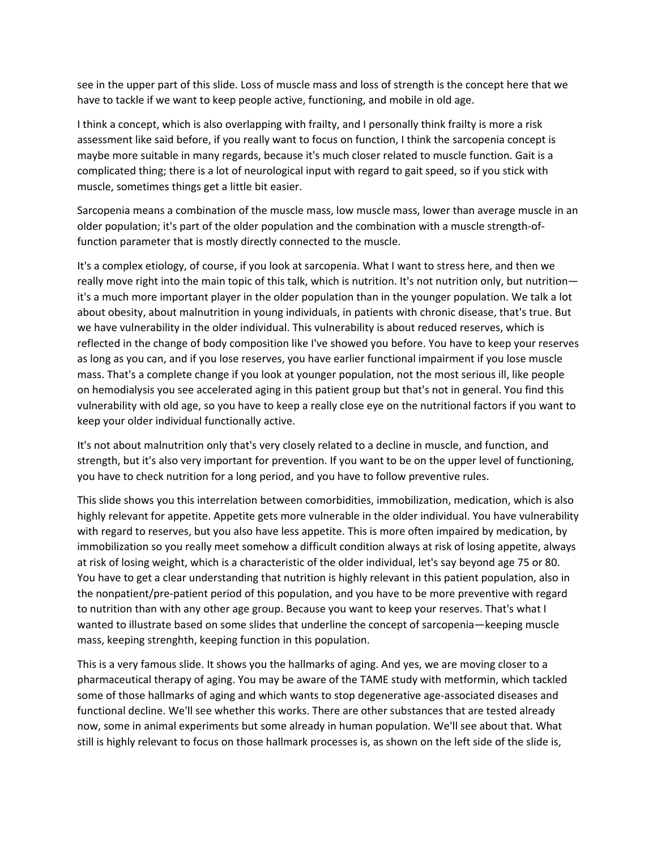see in the upper part of this slide. Loss of muscle mass and loss of strength is the concept here that we have to tackle if we want to keep people active, functioning, and mobile in old age.

I think a concept, which is also overlapping with frailty, and I personally think frailty is more a risk assessment like said before, if you really want to focus on function, I think the sarcopenia concept is maybe more suitable in many regards, because it's much closer related to muscle function. Gait is a complicated thing; there is a lot of neurological input with regard to gait speed, so if you stick with muscle, sometimes things get a little bit easier.

Sarcopenia means a combination of the muscle mass, low muscle mass, lower than average muscle in an older population; it's part of the older population and the combination with a muscle strength‐of‐ function parameter that is mostly directly connected to the muscle.

It's a complex etiology, of course, if you look at sarcopenia. What I want to stress here, and then we really move right into the main topic of this talk, which is nutrition. It's not nutrition only, but nutrition it's a much more important player in the older population than in the younger population. We talk a lot about obesity, about malnutrition in young individuals, in patients with chronic disease, that's true. But we have vulnerability in the older individual. This vulnerability is about reduced reserves, which is reflected in the change of body composition like I've showed you before. You have to keep your reserves as long as you can, and if you lose reserves, you have earlier functional impairment if you lose muscle mass. That's a complete change if you look at younger population, not the most serious ill, like people on hemodialysis you see accelerated aging in this patient group but that's not in general. You find this vulnerability with old age, so you have to keep a really close eye on the nutritional factors if you want to keep your older individual functionally active.

It's not about malnutrition only that's very closely related to a decline in muscle, and function, and strength, but it's also very important for prevention. If you want to be on the upper level of functioning, you have to check nutrition for a long period, and you have to follow preventive rules.

This slide shows you this interrelation between comorbidities, immobilization, medication, which is also highly relevant for appetite. Appetite gets more vulnerable in the older individual. You have vulnerability with regard to reserves, but you also have less appetite. This is more often impaired by medication, by immobilization so you really meet somehow a difficult condition always at risk of losing appetite, always at risk of losing weight, which is a characteristic of the older individual, let's say beyond age 75 or 80. You have to get a clear understanding that nutrition is highly relevant in this patient population, also in the nonpatient/pre‐patient period of this population, and you have to be more preventive with regard to nutrition than with any other age group. Because you want to keep your reserves. That's what I wanted to illustrate based on some slides that underline the concept of sarcopenia—keeping muscle mass, keeping strenghth, keeping function in this population.

This is a very famous slide. It shows you the hallmarks of aging. And yes, we are moving closer to a pharmaceutical therapy of aging. You may be aware of the TAME study with metformin, which tackled some of those hallmarks of aging and which wants to stop degenerative age-associated diseases and functional decline. We'll see whether this works. There are other substances that are tested already now, some in animal experiments but some already in human population. We'll see about that. What still is highly relevant to focus on those hallmark processes is, as shown on the left side of the slide is,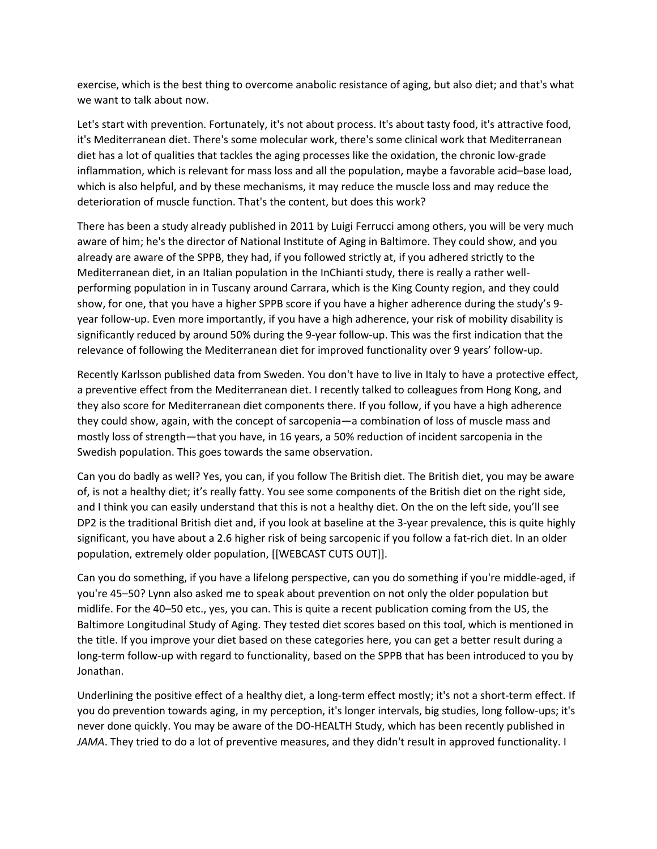exercise, which is the best thing to overcome anabolic resistance of aging, but also diet; and that's what we want to talk about now.

Let's start with prevention. Fortunately, it's not about process. It's about tasty food, it's attractive food, it's Mediterranean diet. There's some molecular work, there's some clinical work that Mediterranean diet has a lot of qualities that tackles the aging processes like the oxidation, the chronic low‐grade inflammation, which is relevant for mass loss and all the population, maybe a favorable acid–base load, which is also helpful, and by these mechanisms, it may reduce the muscle loss and may reduce the deterioration of muscle function. That's the content, but does this work?

There has been a study already published in 2011 by Luigi Ferrucci among others, you will be very much aware of him; he's the director of National Institute of Aging in Baltimore. They could show, and you already are aware of the SPPB, they had, if you followed strictly at, if you adhered strictly to the Mediterranean diet, in an Italian population in the InChianti study, there is really a rather wellperforming population in in Tuscany around Carrara, which is the King County region, and they could show, for one, that you have a higher SPPB score if you have a higher adherence during the study's 9year follow‐up. Even more importantly, if you have a high adherence, your risk of mobility disability is significantly reduced by around 50% during the 9‐year follow‐up. This was the first indication that the relevance of following the Mediterranean diet for improved functionality over 9 years' follow‐up.

Recently Karlsson published data from Sweden. You don't have to live in Italy to have a protective effect, a preventive effect from the Mediterranean diet. I recently talked to colleagues from Hong Kong, and they also score for Mediterranean diet components there. If you follow, if you have a high adherence they could show, again, with the concept of sarcopenia—a combination of loss of muscle mass and mostly loss of strength—that you have, in 16 years, a 50% reduction of incident sarcopenia in the Swedish population. This goes towards the same observation.

Can you do badly as well? Yes, you can, if you follow The British diet. The British diet, you may be aware of, is not a healthy diet; it's really fatty. You see some components of the British diet on the right side, and I think you can easily understand that this is not a healthy diet. On the on the left side, you'll see DP2 is the traditional British diet and, if you look at baseline at the 3‐year prevalence, this is quite highly significant, you have about a 2.6 higher risk of being sarcopenic if you follow a fat-rich diet. In an older population, extremely older population, [[WEBCAST CUTS OUT]].

Can you do something, if you have a lifelong perspective, can you do something if you're middle‐aged, if you're 45–50? Lynn also asked me to speak about prevention on not only the older population but midlife. For the 40–50 etc., yes, you can. This is quite a recent publication coming from the US, the Baltimore Longitudinal Study of Aging. They tested diet scores based on this tool, which is mentioned in the title. If you improve your diet based on these categories here, you can get a better result during a long-term follow-up with regard to functionality, based on the SPPB that has been introduced to you by Jonathan.

Underlining the positive effect of a healthy diet, a long‐term effect mostly; it's not a short‐term effect. If you do prevention towards aging, in my perception, it's longer intervals, big studies, long follow‐ups; it's never done quickly. You may be aware of the DO-HEALTH Study, which has been recently published in *JAMA*. They tried to do a lot of preventive measures, and they didn't result in approved functionality. I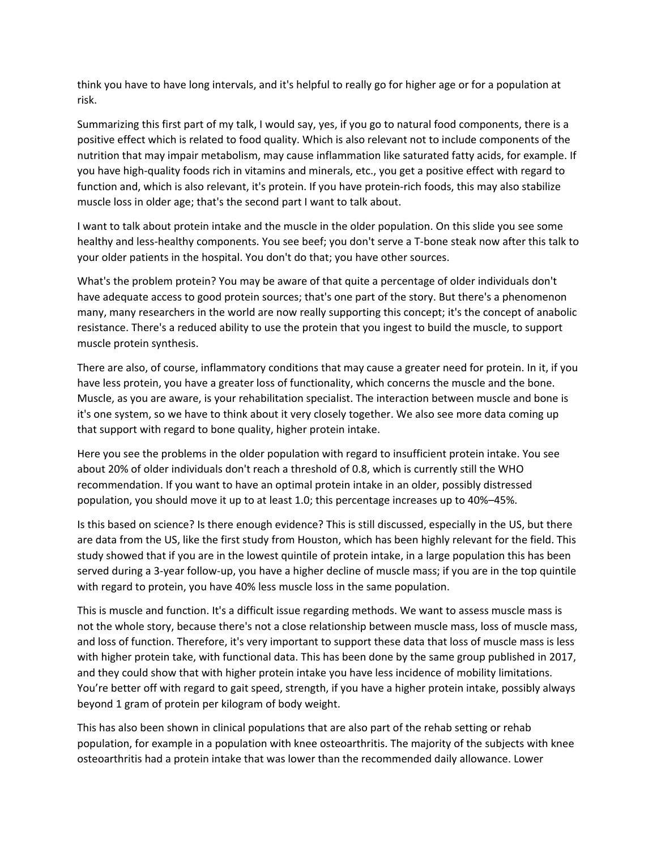think you have to have long intervals, and it's helpful to really go for higher age or for a population at risk.

Summarizing this first part of my talk, I would say, yes, if you go to natural food components, there is a positive effect which is related to food quality. Which is also relevant not to include components of the nutrition that may impair metabolism, may cause inflammation like saturated fatty acids, for example. If you have high-quality foods rich in vitamins and minerals, etc., you get a positive effect with regard to function and, which is also relevant, it's protein. If you have protein‐rich foods, this may also stabilize muscle loss in older age; that's the second part I want to talk about.

I want to talk about protein intake and the muscle in the older population. On this slide you see some healthy and less-healthy components. You see beef; you don't serve a T-bone steak now after this talk to your older patients in the hospital. You don't do that; you have other sources.

What's the problem protein? You may be aware of that quite a percentage of older individuals don't have adequate access to good protein sources; that's one part of the story. But there's a phenomenon many, many researchers in the world are now really supporting this concept; it's the concept of anabolic resistance. There's a reduced ability to use the protein that you ingest to build the muscle, to support muscle protein synthesis.

There are also, of course, inflammatory conditions that may cause a greater need for protein. In it, if you have less protein, you have a greater loss of functionality, which concerns the muscle and the bone. Muscle, as you are aware, is your rehabilitation specialist. The interaction between muscle and bone is it's one system, so we have to think about it very closely together. We also see more data coming up that support with regard to bone quality, higher protein intake.

Here you see the problems in the older population with regard to insufficient protein intake. You see about 20% of older individuals don't reach a threshold of 0.8, which is currently still the WHO recommendation. If you want to have an optimal protein intake in an older, possibly distressed population, you should move it up to at least 1.0; this percentage increases up to 40%–45%.

Is this based on science? Is there enough evidence? This is still discussed, especially in the US, but there are data from the US, like the first study from Houston, which has been highly relevant for the field. This study showed that if you are in the lowest quintile of protein intake, in a large population this has been served during a 3‐year follow‐up, you have a higher decline of muscle mass; if you are in the top quintile with regard to protein, you have 40% less muscle loss in the same population.

This is muscle and function. It's a difficult issue regarding methods. We want to assess muscle mass is not the whole story, because there's not a close relationship between muscle mass, loss of muscle mass, and loss of function. Therefore, it's very important to support these data that loss of muscle mass is less with higher protein take, with functional data. This has been done by the same group published in 2017, and they could show that with higher protein intake you have less incidence of mobility limitations. You're better off with regard to gait speed, strength, if you have a higher protein intake, possibly always beyond 1 gram of protein per kilogram of body weight.

This has also been shown in clinical populations that are also part of the rehab setting or rehab population, for example in a population with knee osteoarthritis. The majority of the subjects with knee osteoarthritis had a protein intake that was lower than the recommended daily allowance. Lower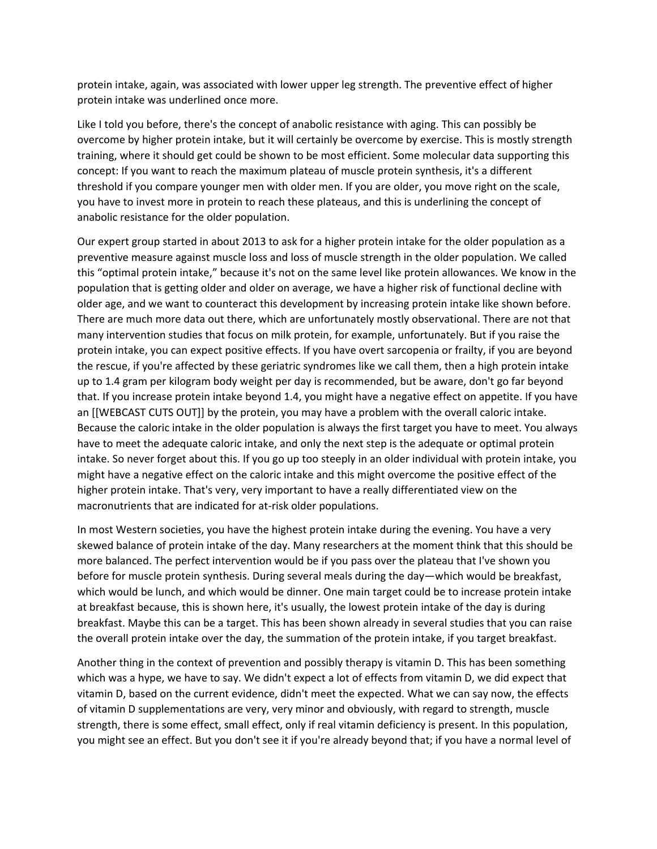protein intake, again, was associated with lower upper leg strength. The preventive effect of higher protein intake was underlined once more.

Like I told you before, there's the concept of anabolic resistance with aging. This can possibly be overcome by higher protein intake, but it will certainly be overcome by exercise. This is mostly strength training, where it should get could be shown to be most efficient. Some molecular data supporting this concept: If you want to reach the maximum plateau of muscle protein synthesis, it's a different threshold if you compare younger men with older men. If you are older, you move right on the scale, you have to invest more in protein to reach these plateaus, and this is underlining the concept of anabolic resistance for the older population.

Our expert group started in about 2013 to ask for a higher protein intake for the older population as a preventive measure against muscle loss and loss of muscle strength in the older population. We called this "optimal protein intake," because it's not on the same level like protein allowances. We know in the population that is getting older and older on average, we have a higher risk of functional decline with older age, and we want to counteract this development by increasing protein intake like shown before. There are much more data out there, which are unfortunately mostly observational. There are not that many intervention studies that focus on milk protein, for example, unfortunately. But if you raise the protein intake, you can expect positive effects. If you have overt sarcopenia or frailty, if you are beyond the rescue, if you're affected by these geriatric syndromes like we call them, then a high protein intake up to 1.4 gram per kilogram body weight per day is recommended, but be aware, don't go far beyond that. If you increase protein intake beyond 1.4, you might have a negative effect on appetite. If you have an [[WEBCAST CUTS OUT]] by the protein, you may have a problem with the overall caloric intake. Because the caloric intake in the older population is always the first target you have to meet. You always have to meet the adequate caloric intake, and only the next step is the adequate or optimal protein intake. So never forget about this. If you go up too steeply in an older individual with protein intake, you might have a negative effect on the caloric intake and this might overcome the positive effect of the higher protein intake. That's very, very important to have a really differentiated view on the macronutrients that are indicated for at‐risk older populations.

In most Western societies, you have the highest protein intake during the evening. You have a very skewed balance of protein intake of the day. Many researchers at the moment think that this should be more balanced. The perfect intervention would be if you pass over the plateau that I've shown you before for muscle protein synthesis. During several meals during the day—which would be breakfast, which would be lunch, and which would be dinner. One main target could be to increase protein intake at breakfast because, this is shown here, it's usually, the lowest protein intake of the day is during breakfast. Maybe this can be a target. This has been shown already in several studies that you can raise the overall protein intake over the day, the summation of the protein intake, if you target breakfast.

Another thing in the context of prevention and possibly therapy is vitamin D. This has been something which was a hype, we have to say. We didn't expect a lot of effects from vitamin D, we did expect that vitamin D, based on the current evidence, didn't meet the expected. What we can say now, the effects of vitamin D supplementations are very, very minor and obviously, with regard to strength, muscle strength, there is some effect, small effect, only if real vitamin deficiency is present. In this population, you might see an effect. But you don't see it if you're already beyond that; if you have a normal level of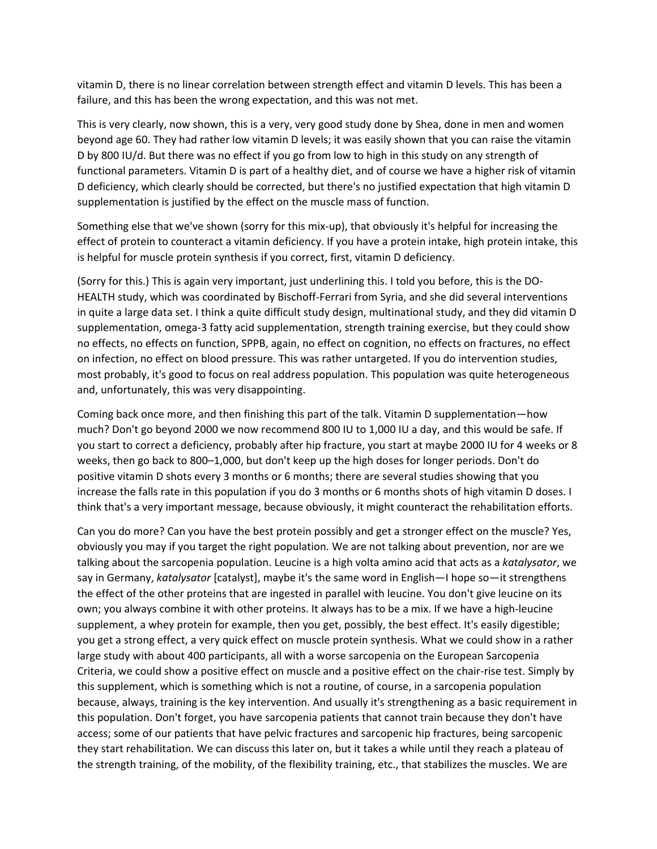vitamin D, there is no linear correlation between strength effect and vitamin D levels. This has been a failure, and this has been the wrong expectation, and this was not met.

This is very clearly, now shown, this is a very, very good study done by Shea, done in men and women beyond age 60. They had rather low vitamin D levels; it was easily shown that you can raise the vitamin D by 800 IU/d. But there was no effect if you go from low to high in this study on any strength of functional parameters. Vitamin D is part of a healthy diet, and of course we have a higher risk of vitamin D deficiency, which clearly should be corrected, but there's no justified expectation that high vitamin D supplementation is justified by the effect on the muscle mass of function.

Something else that we've shown (sorry for this mix‐up), that obviously it's helpful for increasing the effect of protein to counteract a vitamin deficiency. If you have a protein intake, high protein intake, this is helpful for muscle protein synthesis if you correct, first, vitamin D deficiency.

(Sorry for this.) This is again very important, just underlining this. I told you before, this is the DO‐ HEALTH study, which was coordinated by Bischoff‐Ferrari from Syria, and she did several interventions in quite a large data set. I think a quite difficult study design, multinational study, and they did vitamin D supplementation, omega-3 fatty acid supplementation, strength training exercise, but they could show no effects, no effects on function, SPPB, again, no effect on cognition, no effects on fractures, no effect on infection, no effect on blood pressure. This was rather untargeted. If you do intervention studies, most probably, it's good to focus on real address population. This population was quite heterogeneous and, unfortunately, this was very disappointing.

Coming back once more, and then finishing this part of the talk. Vitamin D supplementation—how much? Don't go beyond 2000 we now recommend 800 IU to 1,000 IU a day, and this would be safe. If you start to correct a deficiency, probably after hip fracture, you start at maybe 2000 IU for 4 weeks or 8 weeks, then go back to 800–1,000, but don't keep up the high doses for longer periods. Don't do positive vitamin D shots every 3 months or 6 months; there are several studies showing that you increase the falls rate in this population if you do 3 months or 6 months shots of high vitamin D doses. I think that's a very important message, because obviously, it might counteract the rehabilitation efforts.

Can you do more? Can you have the best protein possibly and get a stronger effect on the muscle? Yes, obviously you may if you target the right population. We are not talking about prevention, nor are we talking about the sarcopenia population. Leucine is a high volta amino acid that acts as a *katalysator*, we say in Germany, *katalysator* [catalyst], maybe it's the same word in English—I hope so—it strengthens the effect of the other proteins that are ingested in parallel with leucine. You don't give leucine on its own; you always combine it with other proteins. It always has to be a mix. If we have a high‐leucine supplement, a whey protein for example, then you get, possibly, the best effect. It's easily digestible; you get a strong effect, a very quick effect on muscle protein synthesis. What we could show in a rather large study with about 400 participants, all with a worse sarcopenia on the European Sarcopenia Criteria, we could show a positive effect on muscle and a positive effect on the chair‐rise test. Simply by this supplement, which is something which is not a routine, of course, in a sarcopenia population because, always, training is the key intervention. And usually it's strengthening as a basic requirement in this population. Don't forget, you have sarcopenia patients that cannot train because they don't have access; some of our patients that have pelvic fractures and sarcopenic hip fractures, being sarcopenic they start rehabilitation. We can discuss this later on, but it takes a while until they reach a plateau of the strength training, of the mobility, of the flexibility training, etc., that stabilizes the muscles. We are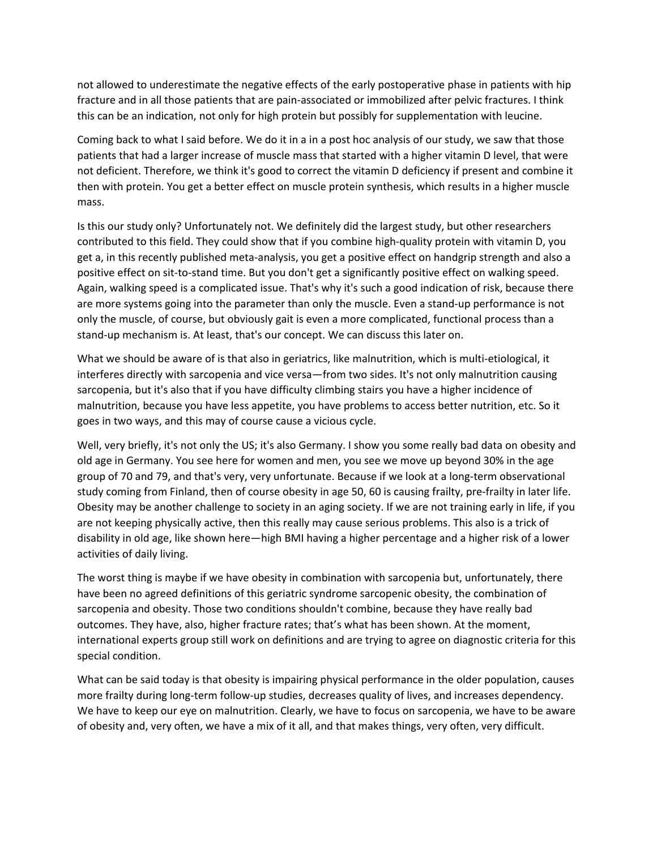not allowed to underestimate the negative effects of the early postoperative phase in patients with hip fracture and in all those patients that are pain‐associated or immobilized after pelvic fractures. I think this can be an indication, not only for high protein but possibly for supplementation with leucine.

Coming back to what I said before. We do it in a in a post hoc analysis of our study, we saw that those patients that had a larger increase of muscle mass that started with a higher vitamin D level, that were not deficient. Therefore, we think it's good to correct the vitamin D deficiency if present and combine it then with protein. You get a better effect on muscle protein synthesis, which results in a higher muscle mass.

Is this our study only? Unfortunately not. We definitely did the largest study, but other researchers contributed to this field. They could show that if you combine high‐quality protein with vitamin D, you get a, in this recently published meta‐analysis, you get a positive effect on handgrip strength and also a positive effect on sit‐to‐stand time. But you don't get a significantly positive effect on walking speed. Again, walking speed is a complicated issue. That's why it's such a good indication of risk, because there are more systems going into the parameter than only the muscle. Even a stand-up performance is not only the muscle, of course, but obviously gait is even a more complicated, functional process than a stand‐up mechanism is. At least, that's our concept. We can discuss this later on.

What we should be aware of is that also in geriatrics, like malnutrition, which is multi-etiological, it interferes directly with sarcopenia and vice versa—from two sides. It's not only malnutrition causing sarcopenia, but it's also that if you have difficulty climbing stairs you have a higher incidence of malnutrition, because you have less appetite, you have problems to access better nutrition, etc. So it goes in two ways, and this may of course cause a vicious cycle.

Well, very briefly, it's not only the US; it's also Germany. I show you some really bad data on obesity and old age in Germany. You see here for women and men, you see we move up beyond 30% in the age group of 70 and 79, and that's very, very unfortunate. Because if we look at a long-term observational study coming from Finland, then of course obesity in age 50, 60 is causing frailty, pre‐frailty in later life. Obesity may be another challenge to society in an aging society. If we are not training early in life, if you are not keeping physically active, then this really may cause serious problems. This also is a trick of disability in old age, like shown here—high BMI having a higher percentage and a higher risk of a lower activities of daily living.

The worst thing is maybe if we have obesity in combination with sarcopenia but, unfortunately, there have been no agreed definitions of this geriatric syndrome sarcopenic obesity, the combination of sarcopenia and obesity. Those two conditions shouldn't combine, because they have really bad outcomes. They have, also, higher fracture rates; that's what has been shown. At the moment, international experts group still work on definitions and are trying to agree on diagnostic criteria for this special condition.

What can be said today is that obesity is impairing physical performance in the older population, causes more frailty during long‐term follow‐up studies, decreases quality of lives, and increases dependency. We have to keep our eye on malnutrition. Clearly, we have to focus on sarcopenia, we have to be aware of obesity and, very often, we have a mix of it all, and that makes things, very often, very difficult.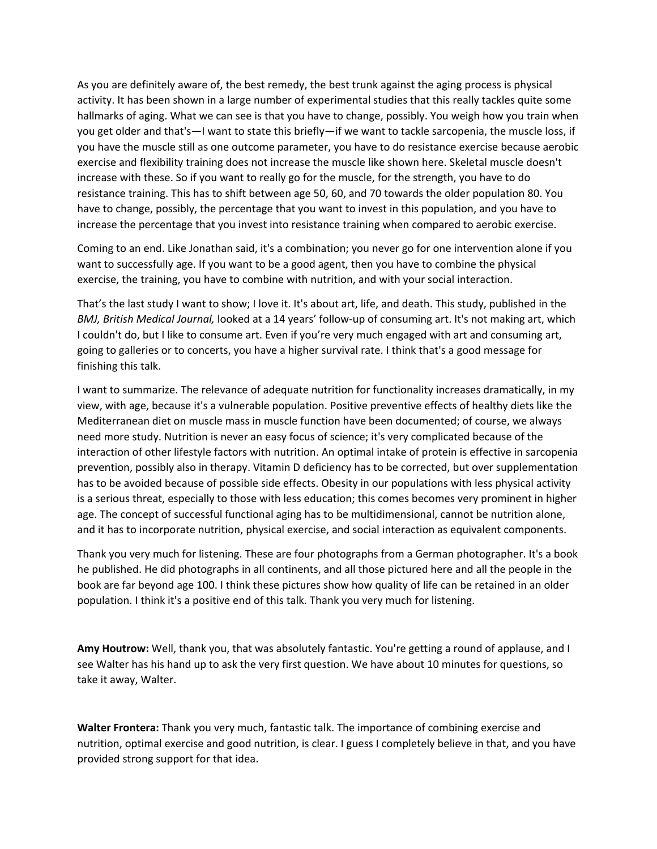As you are definitely aware of, the best remedy, the best trunk against the aging process is physical activity. It has been shown in a large number of experimental studies that this really tackles quite some hallmarks of aging. What we can see is that you have to change, possibly. You weigh how you train when you get older and that's—I want to state this briefly—if we want to tackle sarcopenia, the muscle loss, if you have the muscle still as one outcome parameter, you have to do resistance exercise because aerobic exercise and flexibility training does not increase the muscle like shown here. Skeletal muscle doesn't increase with these. So if you want to really go for the muscle, for the strength, you have to do resistance training. This has to shift between age 50, 60, and 70 towards the older population 80. You have to change, possibly, the percentage that you want to invest in this population, and you have to increase the percentage that you invest into resistance training when compared to aerobic exercise.

Coming to an end. Like Jonathan said, it's a combination; you never go for one intervention alone if you want to successfully age. If you want to be a good agent, then you have to combine the physical exercise, the training, you have to combine with nutrition, and with your social interaction.

That's the last study I want to show; I love it. It's about art, life, and death. This study, published in the *BMJ, British Medical Journal,* looked at a 14 years' follow‐up of consuming art. It's not making art, which I couldn't do, but I like to consume art. Even if you're very much engaged with art and consuming art, going to galleries or to concerts, you have a higher survival rate. I think that's a good message for finishing this talk.

I want to summarize. The relevance of adequate nutrition for functionality increases dramatically, in my view, with age, because it's a vulnerable population. Positive preventive effects of healthy diets like the Mediterranean diet on muscle mass in muscle function have been documented; of course, we always need more study. Nutrition is never an easy focus of science; it's very complicated because of the interaction of other lifestyle factors with nutrition. An optimal intake of protein is effective in sarcopenia prevention, possibly also in therapy. Vitamin D deficiency has to be corrected, but over supplementation has to be avoided because of possible side effects. Obesity in our populations with less physical activity is a serious threat, especially to those with less education; this comes becomes very prominent in higher age. The concept of successful functional aging has to be multidimensional, cannot be nutrition alone, and it has to incorporate nutrition, physical exercise, and social interaction as equivalent components.

Thank you very much for listening. These are four photographs from a German photographer. It's a book he published. He did photographs in all continents, and all those pictured here and all the people in the book are far beyond age 100. I think these pictures show how quality of life can be retained in an older population. I think it's a positive end of this talk. Thank you very much for listening.

**Amy Houtrow:** Well, thank you, that was absolutely fantastic. You're getting a round of applause, and I see Walter has his hand up to ask the very first question. We have about 10 minutes for questions, so take it away, Walter.

**Walter Frontera:** Thank you very much, fantastic talk. The importance of combining exercise and nutrition, optimal exercise and good nutrition, is clear. I guess I completely believe in that, and you have provided strong support for that idea.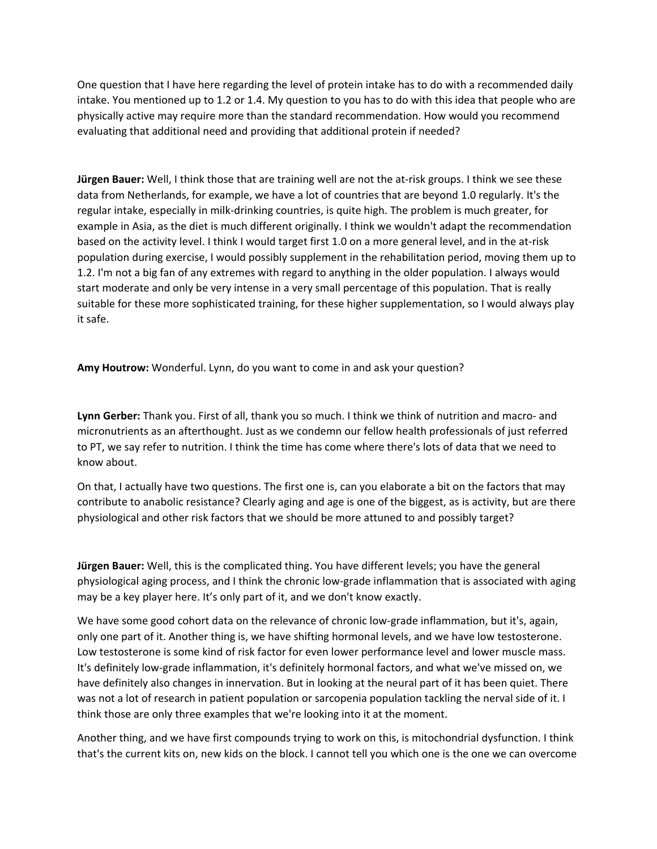One question that I have here regarding the level of protein intake has to do with a recommended daily intake. You mentioned up to 1.2 or 1.4. My question to you has to do with this idea that people who are physically active may require more than the standard recommendation. How would you recommend evaluating that additional need and providing that additional protein if needed?

**Jürgen Bauer:** Well, I think those that are training well are not the at‐risk groups. I think we see these data from Netherlands, for example, we have a lot of countries that are beyond 1.0 regularly. It's the regular intake, especially in milk‐drinking countries, is quite high. The problem is much greater, for example in Asia, as the diet is much different originally. I think we wouldn't adapt the recommendation based on the activity level. I think I would target first 1.0 on a more general level, and in the at-risk population during exercise, I would possibly supplement in the rehabilitation period, moving them up to 1.2. I'm not a big fan of any extremes with regard to anything in the older population. I always would start moderate and only be very intense in a very small percentage of this population. That is really suitable for these more sophisticated training, for these higher supplementation, so I would always play it safe.

**Amy Houtrow:** Wonderful. Lynn, do you want to come in and ask your question?

**Lynn Gerber:** Thank you. First of all, thank you so much. I think we think of nutrition and macro‐ and micronutrients as an afterthought. Just as we condemn our fellow health professionals of just referred to PT, we say refer to nutrition. I think the time has come where there's lots of data that we need to know about.

On that, I actually have two questions. The first one is, can you elaborate a bit on the factors that may contribute to anabolic resistance? Clearly aging and age is one of the biggest, as is activity, but are there physiological and other risk factors that we should be more attuned to and possibly target?

**Jürgen Bauer:** Well, this is the complicated thing. You have different levels; you have the general physiological aging process, and I think the chronic low‐grade inflammation that is associated with aging may be a key player here. It's only part of it, and we don't know exactly.

We have some good cohort data on the relevance of chronic low-grade inflammation, but it's, again, only one part of it. Another thing is, we have shifting hormonal levels, and we have low testosterone. Low testosterone is some kind of risk factor for even lower performance level and lower muscle mass. It's definitely low‐grade inflammation, it's definitely hormonal factors, and what we've missed on, we have definitely also changes in innervation. But in looking at the neural part of it has been quiet. There was not a lot of research in patient population or sarcopenia population tackling the nerval side of it. I think those are only three examples that we're looking into it at the moment.

Another thing, and we have first compounds trying to work on this, is mitochondrial dysfunction. I think that's the current kits on, new kids on the block. I cannot tell you which one is the one we can overcome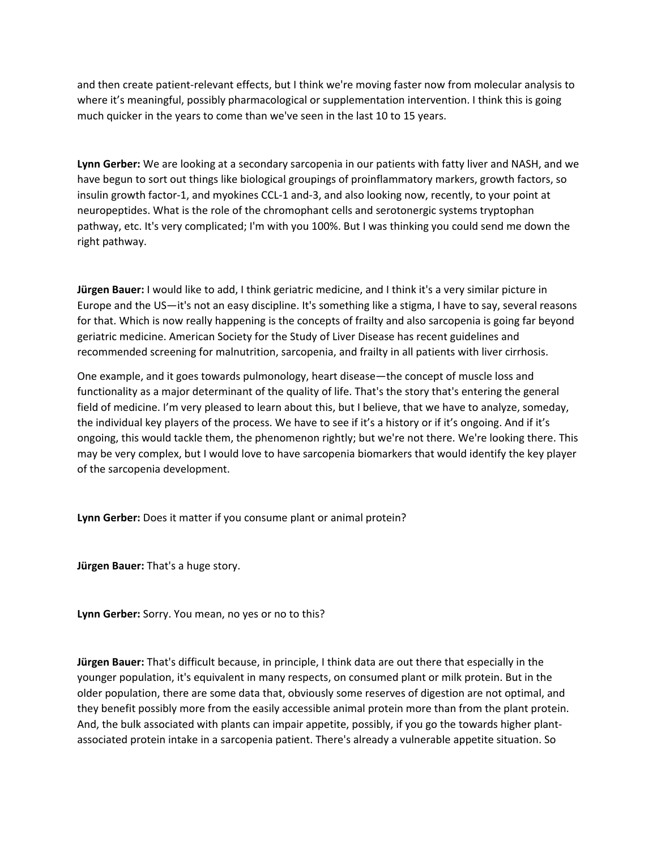and then create patient-relevant effects, but I think we're moving faster now from molecular analysis to where it's meaningful, possibly pharmacological or supplementation intervention. I think this is going much quicker in the years to come than we've seen in the last 10 to 15 years.

**Lynn Gerber:** We are looking at a secondary sarcopenia in our patients with fatty liver and NASH, and we have begun to sort out things like biological groupings of proinflammatory markers, growth factors, so insulin growth factor‐1, and myokines CCL‐1 and‐3, and also looking now, recently, to your point at neuropeptides. What is the role of the chromophant cells and serotonergic systems tryptophan pathway, etc. It's very complicated; I'm with you 100%. But I was thinking you could send me down the right pathway.

**Jürgen Bauer:** I would like to add, I think geriatric medicine, and I think it's a very similar picture in Europe and the US—it's not an easy discipline. It's something like a stigma, I have to say, several reasons for that. Which is now really happening is the concepts of frailty and also sarcopenia is going far beyond geriatric medicine. American Society for the Study of Liver Disease has recent guidelines and recommended screening for malnutrition, sarcopenia, and frailty in all patients with liver cirrhosis.

One example, and it goes towards pulmonology, heart disease—the concept of muscle loss and functionality as a major determinant of the quality of life. That's the story that's entering the general field of medicine. I'm very pleased to learn about this, but I believe, that we have to analyze, someday, the individual key players of the process. We have to see if it's a history or if it's ongoing. And if it's ongoing, this would tackle them, the phenomenon rightly; but we're not there. We're looking there. This may be very complex, but I would love to have sarcopenia biomarkers that would identify the key player of the sarcopenia development.

**Lynn Gerber:** Does it matter if you consume plant or animal protein?

**Jürgen Bauer:** That's a huge story.

**Lynn Gerber:** Sorry. You mean, no yes or no to this?

**Jürgen Bauer:** That's difficult because, in principle, I think data are out there that especially in the younger population, it's equivalent in many respects, on consumed plant or milk protein. But in the older population, there are some data that, obviously some reserves of digestion are not optimal, and they benefit possibly more from the easily accessible animal protein more than from the plant protein. And, the bulk associated with plants can impair appetite, possibly, if you go the towards higher plant‐ associated protein intake in a sarcopenia patient. There's already a vulnerable appetite situation. So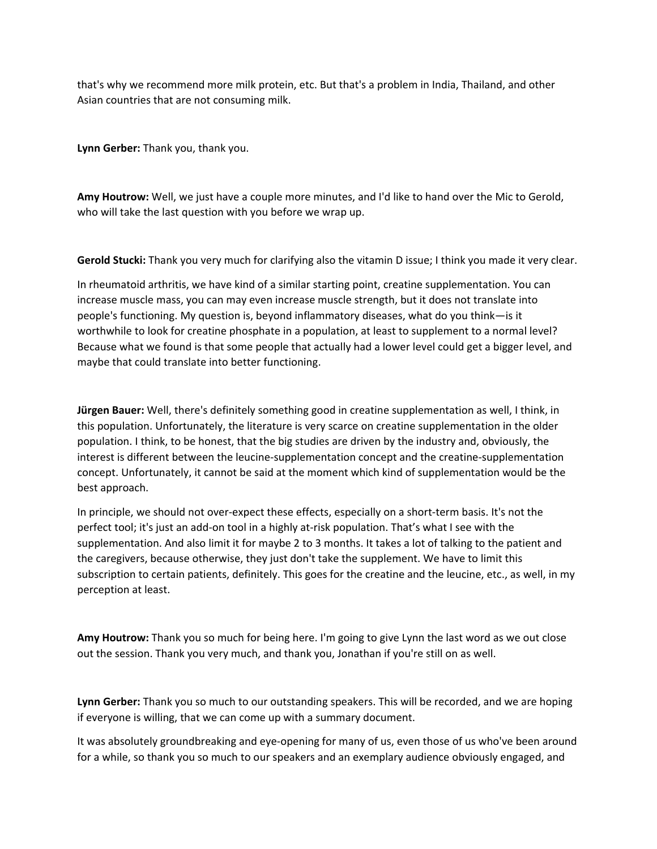that's why we recommend more milk protein, etc. But that's a problem in India, Thailand, and other Asian countries that are not consuming milk.

**Lynn Gerber:** Thank you, thank you.

**Amy Houtrow:** Well, we just have a couple more minutes, and I'd like to hand over the Mic to Gerold, who will take the last question with you before we wrap up.

**Gerold Stucki:** Thank you very much for clarifying also the vitamin D issue; I think you made it very clear.

In rheumatoid arthritis, we have kind of a similar starting point, creatine supplementation. You can increase muscle mass, you can may even increase muscle strength, but it does not translate into people's functioning. My question is, beyond inflammatory diseases, what do you think—is it worthwhile to look for creatine phosphate in a population, at least to supplement to a normal level? Because what we found is that some people that actually had a lower level could get a bigger level, and maybe that could translate into better functioning.

**Jürgen Bauer:** Well, there's definitely something good in creatine supplementation as well, I think, in this population. Unfortunately, the literature is very scarce on creatine supplementation in the older population. I think, to be honest, that the big studies are driven by the industry and, obviously, the interest is different between the leucine‐supplementation concept and the creatine‐supplementation concept. Unfortunately, it cannot be said at the moment which kind of supplementation would be the best approach.

In principle, we should not over-expect these effects, especially on a short-term basis. It's not the perfect tool; it's just an add-on tool in a highly at-risk population. That's what I see with the supplementation. And also limit it for maybe 2 to 3 months. It takes a lot of talking to the patient and the caregivers, because otherwise, they just don't take the supplement. We have to limit this subscription to certain patients, definitely. This goes for the creatine and the leucine, etc., as well, in my perception at least.

**Amy Houtrow:** Thank you so much for being here. I'm going to give Lynn the last word as we out close out the session. Thank you very much, and thank you, Jonathan if you're still on as well.

**Lynn Gerber:** Thank you so much to our outstanding speakers. This will be recorded, and we are hoping if everyone is willing, that we can come up with a summary document.

It was absolutely groundbreaking and eye-opening for many of us, even those of us who've been around for a while, so thank you so much to our speakers and an exemplary audience obviously engaged, and